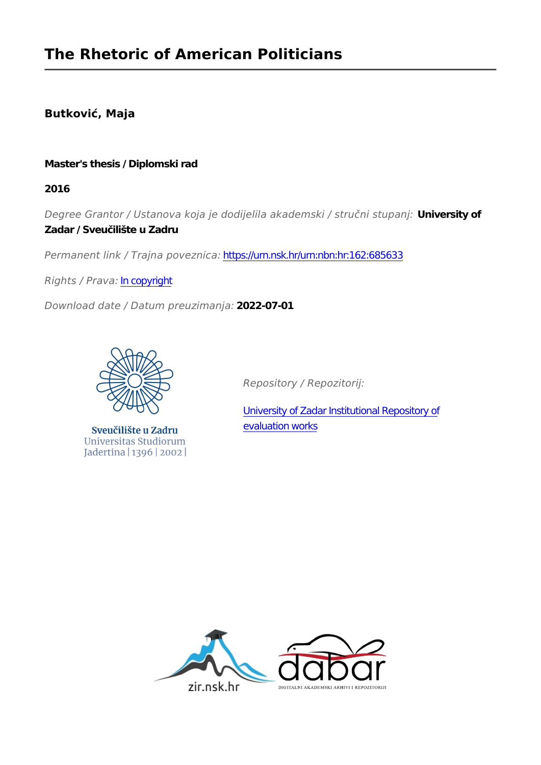# **Butković, Maja**

# **Master's thesis / Diplomski rad**

**2016**

*Degree Grantor / Ustanova koja je dodijelila akademski / stručni stupanj:* **University of Zadar / Sveučilište u Zadru**

*Permanent link / Trajna poveznica:* <https://urn.nsk.hr/urn:nbn:hr:162:685633>

*Rights / Prava:* [In copyright](http://rightsstatements.org/vocab/InC/1.0/)

*Download date / Datum preuzimanja:* **2022-07-01**



Sveučilište u Zadru Universitas Studiorum Jadertina | 1396 | 2002 |

*Repository / Repozitorij:*

[University of Zadar Institutional Repository of](https://repozitorij.unizd.hr) [evaluation works](https://repozitorij.unizd.hr)

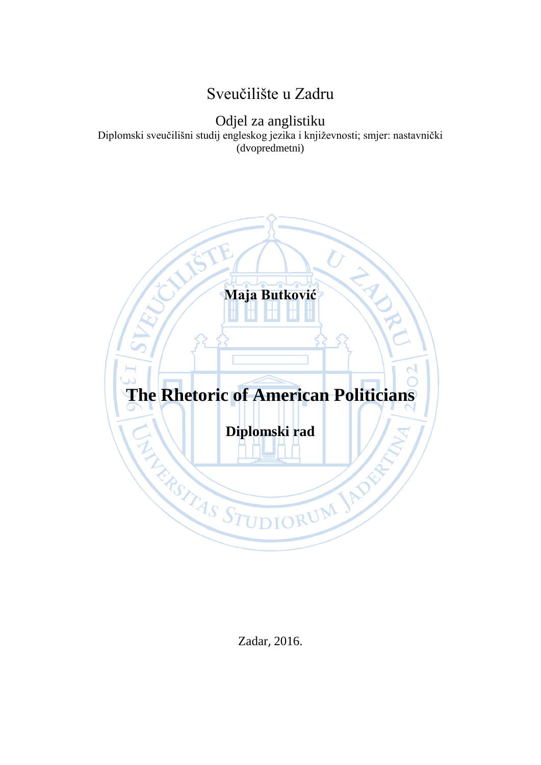# Sveučilište u Zadru

Odjel za anglistiku

Diplomski sveučilišni studij engleskog jezika i književnosti; smjer: nastavnički (dvopredmetni)



Zadar, 2016.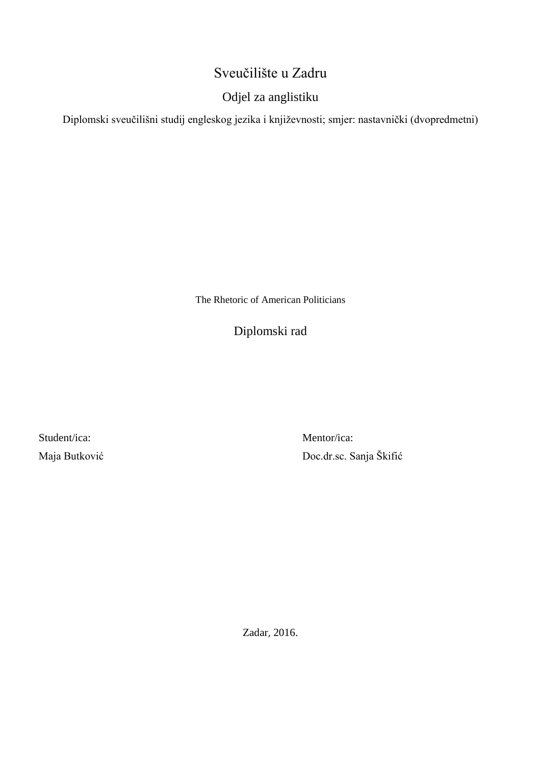# Sveučilište u Zadru

# Odjel za anglistiku

Diplomski sveučilišni studij engleskog jezika i književnosti; smjer: nastavnički (dvopredmetni)

The Rhetoric of American Politicians

Diplomski rad

Student/ica: Maja Butković

Mentor/ica: Doc.dr.sc. Sanja Škifić

Zadar, 2016.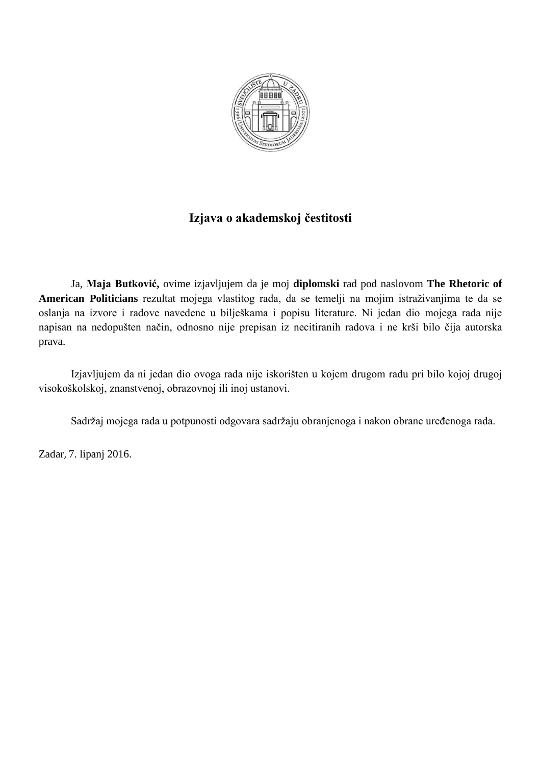

# **Izjava o akademskoj čestitosti**

Ja, **Maja Butković,** ovime izjavljujem da je moj **diplomski** rad pod naslovom **The Rhetoric of American Politicians** rezultat mojega vlastitog rada, da se temelji na mojim istraživanjima te da se oslanja na izvore i radove navedene u bilješkama i popisu literature. Ni jedan dio mojega rada nije napisan na nedopušten način, odnosno nije prepisan iz necitiranih radova i ne krši bilo čija autorska prava.

Izjavljujem da ni jedan dio ovoga rada nije iskorišten u kojem drugom radu pri bilo kojoj drugoj visokoškolskoj, znanstvenoj, obrazovnoj ili inoj ustanovi.

Sadržaj mojega rada u potpunosti odgovara sadržaju obranjenoga i nakon obrane uređenoga rada.

Zadar, 7. lipanj 2016.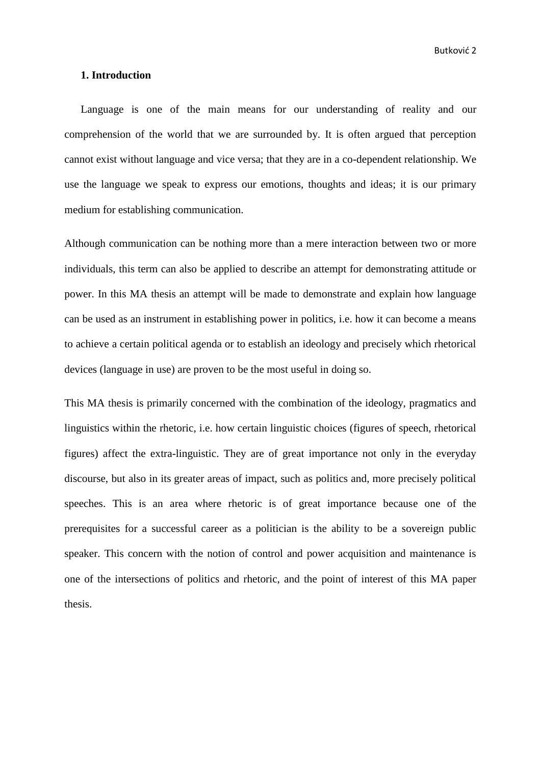Butković 2

# <span id="page-5-0"></span>**1. Introduction**

Language is one of the main means for our understanding of reality and our comprehension of the world that we are surrounded by. It is often argued that perception cannot exist without language and vice versa; that they are in a co-dependent relationship. We use the language we speak to express our emotions, thoughts and ideas; it is our primary medium for establishing communication.

Although communication can be nothing more than a mere interaction between two or more individuals, this term can also be applied to describe an attempt for demonstrating attitude or power. In this MA thesis an attempt will be made to demonstrate and explain how language can be used as an instrument in establishing power in politics, i.e. how it can become a means to achieve a certain political agenda or to establish an ideology and precisely which rhetorical devices (language in use) are proven to be the most useful in doing so.

This MA thesis is primarily concerned with the combination of the ideology, pragmatics and linguistics within the rhetoric, i.e. how certain linguistic choices (figures of speech, rhetorical figures) affect the extra-linguistic. They are of great importance not only in the everyday discourse, but also in its greater areas of impact, such as politics and, more precisely political speeches. This is an area where rhetoric is of great importance because one of the prerequisites for a successful career as a politician is the ability to be a sovereign public speaker. This concern with the notion of control and power acquisition and maintenance is one of the intersections of politics and rhetoric, and the point of interest of this MA paper thesis.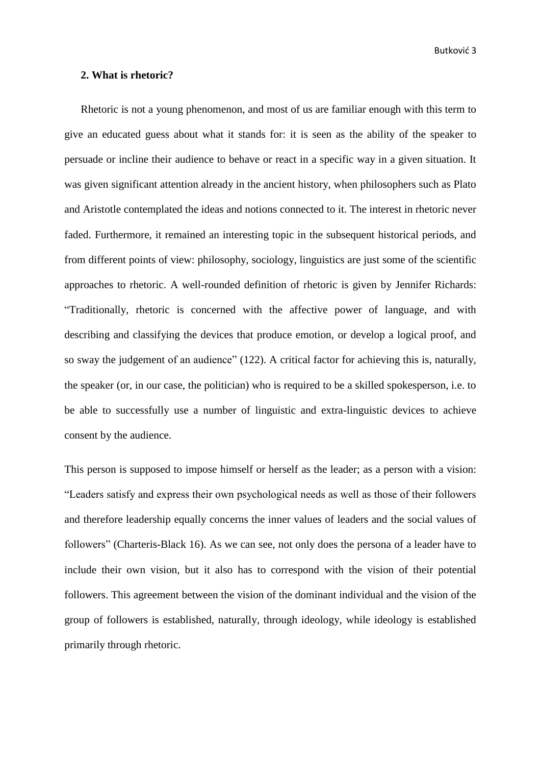Butković 3

# <span id="page-6-0"></span>**2. What is rhetoric?**

Rhetoric is not a young phenomenon, and most of us are familiar enough with this term to give an educated guess about what it stands for: it is seen as the ability of the speaker to persuade or incline their audience to behave or react in a specific way in a given situation. It was given significant attention already in the ancient history, when philosophers such as Plato and Aristotle contemplated the ideas and notions connected to it. The interest in rhetoric never faded. Furthermore, it remained an interesting topic in the subsequent historical periods, and from different points of view: philosophy, sociology, linguistics are just some of the scientific approaches to rhetoric. A well-rounded definition of rhetoric is given by Jennifer Richards: "Traditionally, rhetoric is concerned with the affective power of language, and with describing and classifying the devices that produce emotion, or develop a logical proof, and so sway the judgement of an audience" (122). A critical factor for achieving this is, naturally, the speaker (or, in our case, the politician) who is required to be a skilled spokesperson, i.e. to be able to successfully use a number of linguistic and extra-linguistic devices to achieve consent by the audience.

This person is supposed to impose himself or herself as the leader; as a person with a vision: "Leaders satisfy and express their own psychological needs as well as those of their followers and therefore leadership equally concerns the inner values of leaders and the social values of followers" (Charteris-Black 16). As we can see, not only does the persona of a leader have to include their own vision, but it also has to correspond with the vision of their potential followers. This agreement between the vision of the dominant individual and the vision of the group of followers is established, naturally, through ideology, while ideology is established primarily through rhetoric.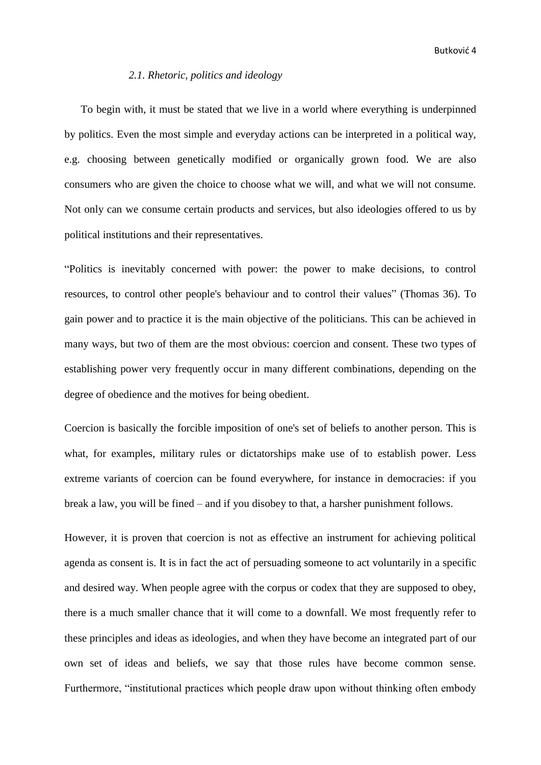#### *2.1. Rhetoric, politics and ideology*

<span id="page-7-0"></span>To begin with, it must be stated that we live in a world where everything is underpinned by politics. Even the most simple and everyday actions can be interpreted in a political way, e.g. choosing between genetically modified or organically grown food. We are also consumers who are given the choice to choose what we will, and what we will not consume. Not only can we consume certain products and services, but also ideologies offered to us by political institutions and their representatives.

"Politics is inevitably concerned with power: the power to make decisions, to control resources, to control other people's behaviour and to control their values" (Thomas 36). To gain power and to practice it is the main objective of the politicians. This can be achieved in many ways, but two of them are the most obvious: coercion and consent. These two types of establishing power very frequently occur in many different combinations, depending on the degree of obedience and the motives for being obedient.

Coercion is basically the forcible imposition of one's set of beliefs to another person. This is what, for examples, military rules or dictatorships make use of to establish power. Less extreme variants of coercion can be found everywhere, for instance in democracies: if you break a law, you will be fined – and if you disobey to that, a harsher punishment follows.

However, it is proven that coercion is not as effective an instrument for achieving political agenda as consent is. It is in fact the act of persuading someone to act voluntarily in a specific and desired way. When people agree with the corpus or codex that they are supposed to obey, there is a much smaller chance that it will come to a downfall. We most frequently refer to these principles and ideas as ideologies, and when they have become an integrated part of our own set of ideas and beliefs, we say that those rules have become common sense. Furthermore, "institutional practices which people draw upon without thinking often embody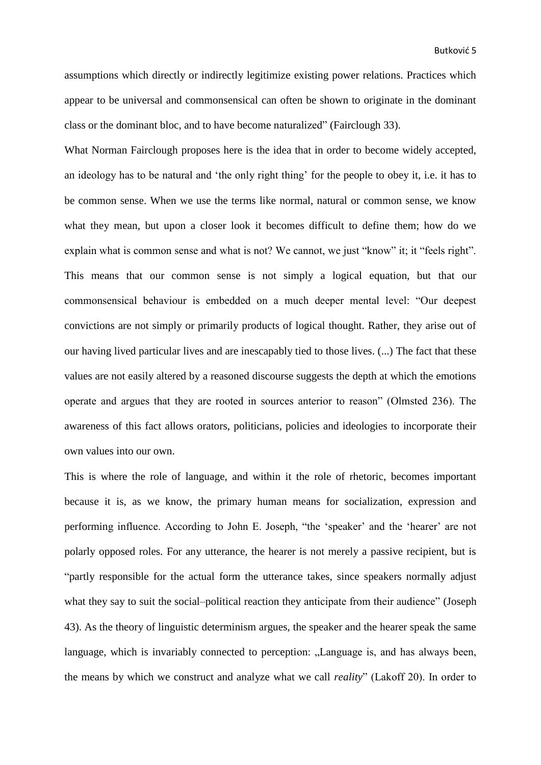assumptions which directly or indirectly legitimize existing power relations. Practices which appear to be universal and commonsensical can often be shown to originate in the dominant class or the dominant bloc, and to have become naturalized" (Fairclough 33).

What Norman Fairclough proposes here is the idea that in order to become widely accepted, an ideology has to be natural and 'the only right thing' for the people to obey it, i.e. it has to be common sense. When we use the terms like normal, natural or common sense, we know what they mean, but upon a closer look it becomes difficult to define them; how do we explain what is common sense and what is not? We cannot, we just "know" it; it "feels right". This means that our common sense is not simply a logical equation, but that our commonsensical behaviour is embedded on a much deeper mental level: "Our deepest convictions are not simply or primarily products of logical thought. Rather, they arise out of our having lived particular lives and are inescapably tied to those lives. (...) The fact that these values are not easily altered by a reasoned discourse suggests the depth at which the emotions operate and argues that they are rooted in sources anterior to reason" (Olmsted 236). The awareness of this fact allows orators, politicians, policies and ideologies to incorporate their own values into our own.

This is where the role of language, and within it the role of rhetoric, becomes important because it is, as we know, the primary human means for socialization, expression and performing influence. According to John E. Joseph, "the 'speaker' and the 'hearer' are not polarly opposed roles. For any utterance, the hearer is not merely a passive recipient, but is "partly responsible for the actual form the utterance takes, since speakers normally adjust what they say to suit the social–political reaction they anticipate from their audience" (Joseph 43). As the theory of linguistic determinism argues, the speaker and the hearer speak the same language, which is invariably connected to perception: "Language is, and has always been, the means by which we construct and analyze what we call *reality*" (Lakoff 20). In order to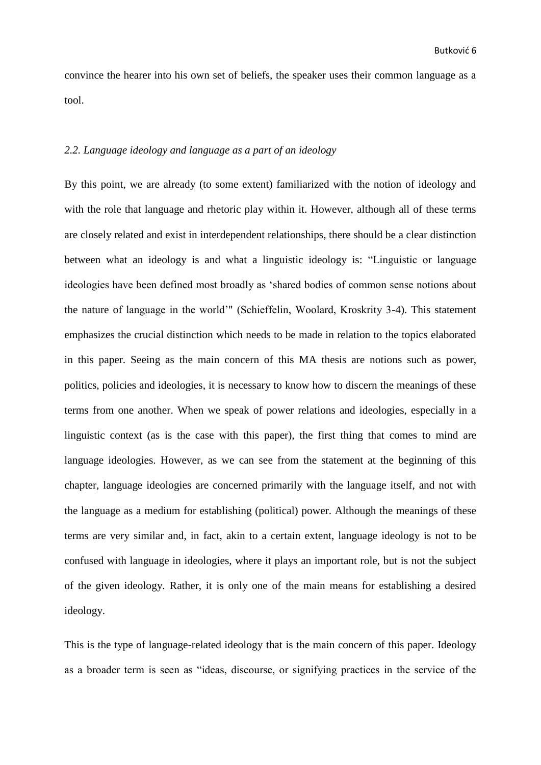convince the hearer into his own set of beliefs, the speaker uses their common language as a tool.

## <span id="page-9-0"></span>*2.2. Language ideology and language as a part of an ideology*

By this point, we are already (to some extent) familiarized with the notion of ideology and with the role that language and rhetoric play within it. However, although all of these terms are closely related and exist in interdependent relationships, there should be a clear distinction between what an ideology is and what a linguistic ideology is: "Linguistic or language ideologies have been defined most broadly as 'shared bodies of common sense notions about the nature of language in the world'" (Schieffelin, Woolard, Kroskrity 3-4). This statement emphasizes the crucial distinction which needs to be made in relation to the topics elaborated in this paper. Seeing as the main concern of this MA thesis are notions such as power, politics, policies and ideologies, it is necessary to know how to discern the meanings of these terms from one another. When we speak of power relations and ideologies, especially in a linguistic context (as is the case with this paper), the first thing that comes to mind are language ideologies. However, as we can see from the statement at the beginning of this chapter, language ideologies are concerned primarily with the language itself, and not with the language as a medium for establishing (political) power. Although the meanings of these terms are very similar and, in fact, akin to a certain extent, language ideology is not to be confused with language in ideologies, where it plays an important role, but is not the subject of the given ideology. Rather, it is only one of the main means for establishing a desired ideology.

This is the type of language-related ideology that is the main concern of this paper. Ideology as a broader term is seen as "ideas, discourse, or signifying practices in the service of the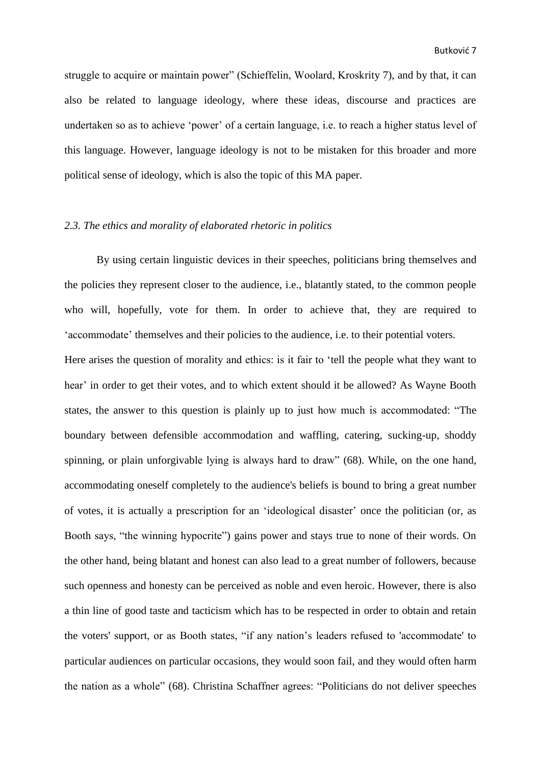struggle to acquire or maintain power" (Schieffelin, Woolard, Kroskrity 7), and by that, it can also be related to language ideology, where these ideas, discourse and practices are undertaken so as to achieve 'power' of a certain language, i.e. to reach a higher status level of this language. However, language ideology is not to be mistaken for this broader and more political sense of ideology, which is also the topic of this MA paper.

### <span id="page-10-0"></span>*2.3. The ethics and morality of elaborated rhetoric in politics*

By using certain linguistic devices in their speeches, politicians bring themselves and the policies they represent closer to the audience, i.e., blatantly stated, to the common people who will, hopefully, vote for them. In order to achieve that, they are required to 'accommodate' themselves and their policies to the audience, i.e. to their potential voters.

Here arises the question of morality and ethics: is it fair to 'tell the people what they want to hear' in order to get their votes, and to which extent should it be allowed? As Wayne Booth states, the answer to this question is plainly up to just how much is accommodated: "The boundary between defensible accommodation and waffling, catering, sucking-up, shoddy spinning, or plain unforgivable lying is always hard to draw" (68). While, on the one hand, accommodating oneself completely to the audience's beliefs is bound to bring a great number of votes, it is actually a prescription for an 'ideological disaster' once the politician (or, as Booth says, "the winning hypocrite") gains power and stays true to none of their words. On the other hand, being blatant and honest can also lead to a great number of followers, because such openness and honesty can be perceived as noble and even heroic. However, there is also a thin line of good taste and tacticism which has to be respected in order to obtain and retain the voters' support, or as Booth states, "if any nation's leaders refused to 'accommodate' to particular audiences on particular occasions, they would soon fail, and they would often harm the nation as a whole" (68). Christina Schaffner agrees: "Politicians do not deliver speeches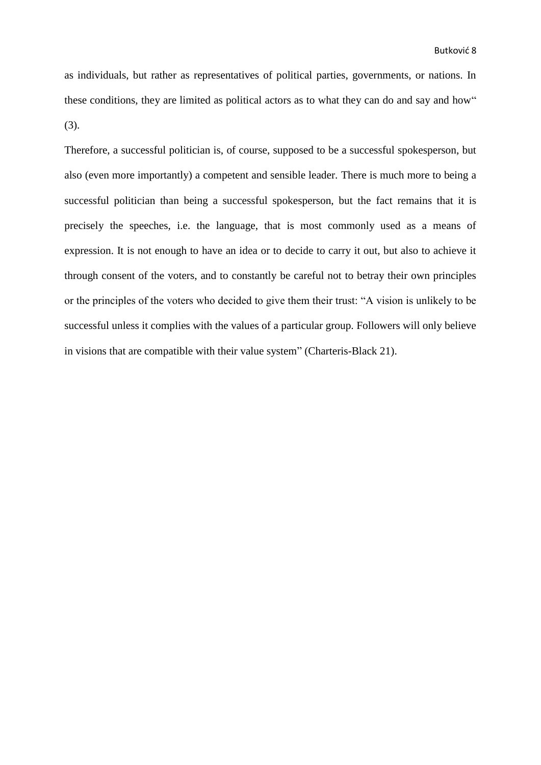as individuals, but rather as representatives of political parties, governments, or nations. In these conditions, they are limited as political actors as to what they can do and say and how" (3).

Therefore, a successful politician is, of course, supposed to be a successful spokesperson, but also (even more importantly) a competent and sensible leader. There is much more to being a successful politician than being a successful spokesperson, but the fact remains that it is precisely the speeches, i.e. the language, that is most commonly used as a means of expression. It is not enough to have an idea or to decide to carry it out, but also to achieve it through consent of the voters, and to constantly be careful not to betray their own principles or the principles of the voters who decided to give them their trust: "A vision is unlikely to be successful unless it complies with the values of a particular group. Followers will only believe in visions that are compatible with their value system" (Charteris-Black 21).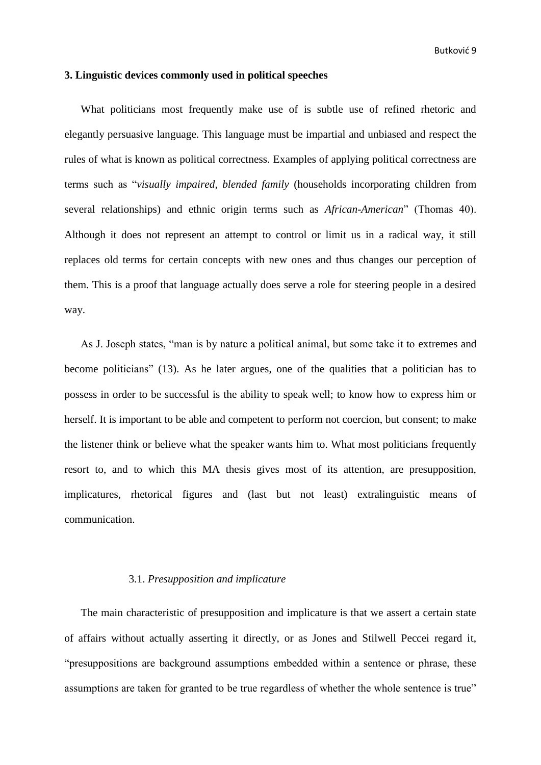# <span id="page-12-0"></span>**3. Linguistic devices commonly used in political speeches**

What politicians most frequently make use of is subtle use of refined rhetoric and elegantly persuasive language. This language must be impartial and unbiased and respect the rules of what is known as political correctness. Examples of applying political correctness are terms such as "*visually impaired, blended family* (households incorporating children from several relationships) and ethnic origin terms such as *African-American*" (Thomas 40). Although it does not represent an attempt to control or limit us in a radical way, it still replaces old terms for certain concepts with new ones and thus changes our perception of them. This is a proof that language actually does serve a role for steering people in a desired way.

As J. Joseph states, "man is by nature a political animal, but some take it to extremes and become politicians" (13). As he later argues, one of the qualities that a politician has to possess in order to be successful is the ability to speak well; to know how to express him or herself. It is important to be able and competent to perform not coercion, but consent; to make the listener think or believe what the speaker wants him to. What most politicians frequently resort to, and to which this MA thesis gives most of its attention, are presupposition, implicatures, rhetorical figures and (last but not least) extralinguistic means of communication.

#### <span id="page-12-1"></span>3.1. *Presupposition and implicature*

The main characteristic of presupposition and implicature is that we assert a certain state of affairs without actually asserting it directly, or as Jones and Stilwell Peccei regard it, "presuppositions are background assumptions embedded within a sentence or phrase, these assumptions are taken for granted to be true regardless of whether the whole sentence is true"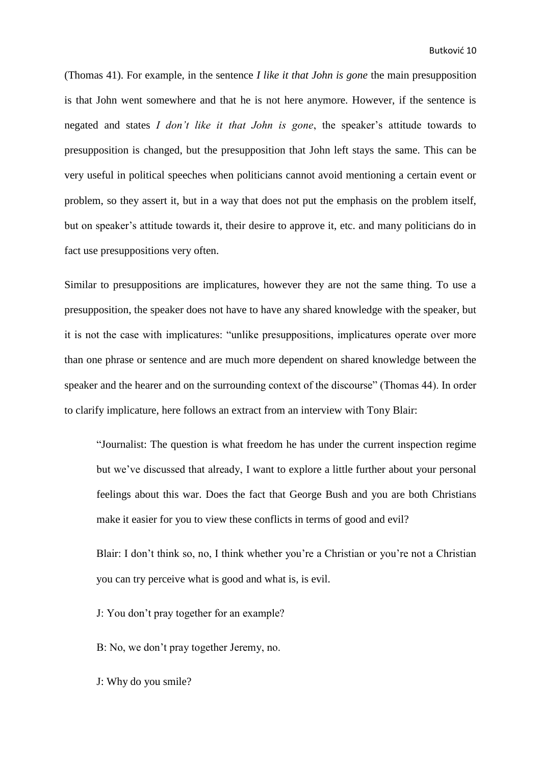(Thomas 41). For example, in the sentence *I like it that John is gone* the main presupposition is that John went somewhere and that he is not here anymore. However, if the sentence is negated and states *I don't like it that John is gone*, the speaker's attitude towards to presupposition is changed, but the presupposition that John left stays the same. This can be very useful in political speeches when politicians cannot avoid mentioning a certain event or problem, so they assert it, but in a way that does not put the emphasis on the problem itself, but on speaker's attitude towards it, their desire to approve it, etc. and many politicians do in fact use presuppositions very often.

Similar to presuppositions are implicatures, however they are not the same thing. To use a presupposition, the speaker does not have to have any shared knowledge with the speaker, but it is not the case with implicatures: "unlike presuppositions, implicatures operate over more than one phrase or sentence and are much more dependent on shared knowledge between the speaker and the hearer and on the surrounding context of the discourse" (Thomas 44). In order to clarify implicature, here follows an extract from an interview with Tony Blair:

"Journalist: The question is what freedom he has under the current inspection regime but we've discussed that already, I want to explore a little further about your personal feelings about this war. Does the fact that George Bush and you are both Christians make it easier for you to view these conflicts in terms of good and evil?

Blair: I don't think so, no, I think whether you're a Christian or you're not a Christian you can try perceive what is good and what is, is evil.

J: You don't pray together for an example?

B: No, we don't pray together Jeremy, no.

J: Why do you smile?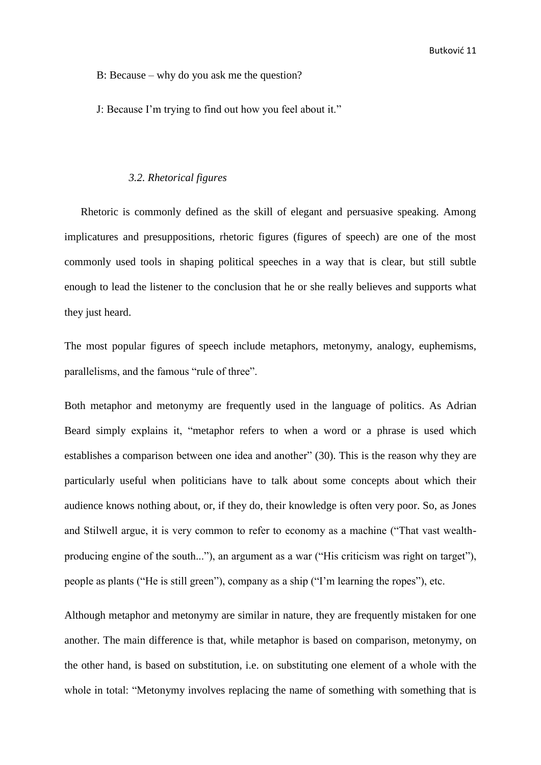B: Because – why do you ask me the question?

J: Because I'm trying to find out how you feel about it."

#### <span id="page-14-0"></span>*3.2. Rhetorical figures*

Rhetoric is commonly defined as the skill of elegant and persuasive speaking. Among implicatures and presuppositions, rhetoric figures (figures of speech) are one of the most commonly used tools in shaping political speeches in a way that is clear, but still subtle enough to lead the listener to the conclusion that he or she really believes and supports what they just heard.

The most popular figures of speech include metaphors, metonymy, analogy, euphemisms, parallelisms, and the famous "rule of three".

Both metaphor and metonymy are frequently used in the language of politics. As Adrian Beard simply explains it, "metaphor refers to when a word or a phrase is used which establishes a comparison between one idea and another" (30). This is the reason why they are particularly useful when politicians have to talk about some concepts about which their audience knows nothing about, or, if they do, their knowledge is often very poor. So, as Jones and Stilwell argue, it is very common to refer to economy as a machine ("That vast wealthproducing engine of the south..."), an argument as a war ("His criticism was right on target"), people as plants ("He is still green"), company as a ship ("I'm learning the ropes"), etc.

Although metaphor and metonymy are similar in nature, they are frequently mistaken for one another. The main difference is that, while metaphor is based on comparison, metonymy, on the other hand, is based on substitution, i.e. on substituting one element of a whole with the whole in total: "Metonymy involves replacing the name of something with something that is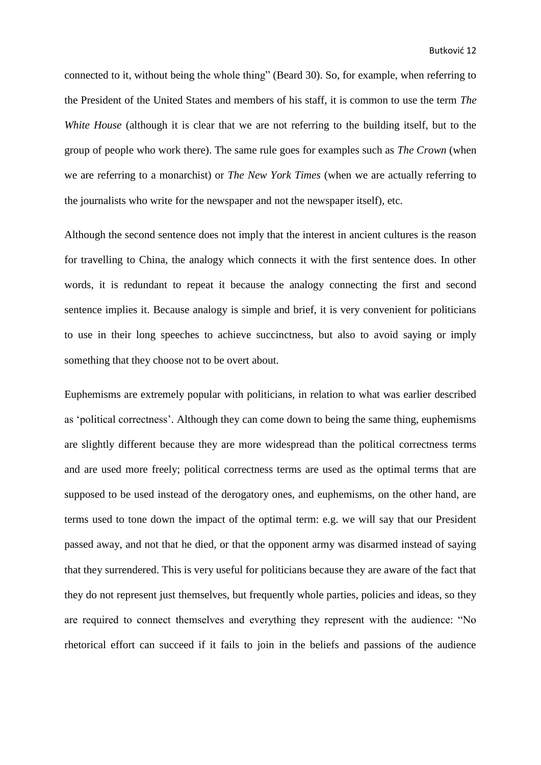connected to it, without being the whole thing" (Beard 30). So, for example, when referring to the President of the United States and members of his staff, it is common to use the term *The White House* (although it is clear that we are not referring to the building itself, but to the group of people who work there). The same rule goes for examples such as *The Crown* (when we are referring to a monarchist) or *The New York Times* (when we are actually referring to the journalists who write for the newspaper and not the newspaper itself), etc.

Although the second sentence does not imply that the interest in ancient cultures is the reason for travelling to China, the analogy which connects it with the first sentence does. In other words, it is redundant to repeat it because the analogy connecting the first and second sentence implies it. Because analogy is simple and brief, it is very convenient for politicians to use in their long speeches to achieve succinctness, but also to avoid saying or imply something that they choose not to be overt about.

Euphemisms are extremely popular with politicians, in relation to what was earlier described as 'political correctness'. Although they can come down to being the same thing, euphemisms are slightly different because they are more widespread than the political correctness terms and are used more freely; political correctness terms are used as the optimal terms that are supposed to be used instead of the derogatory ones, and euphemisms, on the other hand, are terms used to tone down the impact of the optimal term: e.g. we will say that our President passed away, and not that he died, or that the opponent army was disarmed instead of saying that they surrendered. This is very useful for politicians because they are aware of the fact that they do not represent just themselves, but frequently whole parties, policies and ideas, so they are required to connect themselves and everything they represent with the audience: "No rhetorical effort can succeed if it fails to join in the beliefs and passions of the audience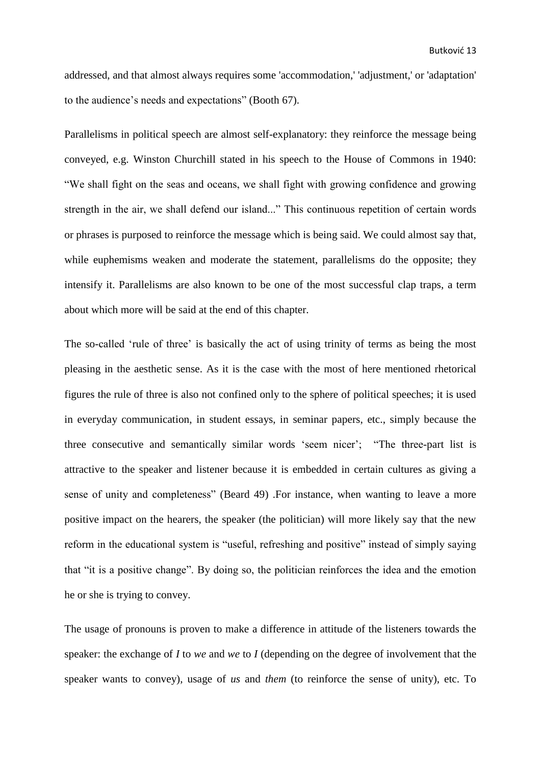addressed, and that almost always requires some 'accommodation,' 'adjustment,' or 'adaptation' to the audience's needs and expectations" (Booth 67).

Parallelisms in political speech are almost self-explanatory: they reinforce the message being conveyed, e.g. Winston Churchill stated in his speech to the House of Commons in 1940: "We shall fight on the seas and oceans, we shall fight with growing confidence and growing strength in the air, we shall defend our island..." This continuous repetition of certain words or phrases is purposed to reinforce the message which is being said. We could almost say that, while euphemisms weaken and moderate the statement, parallelisms do the opposite; they intensify it. Parallelisms are also known to be one of the most successful clap traps, a term about which more will be said at the end of this chapter.

The so-called 'rule of three' is basically the act of using trinity of terms as being the most pleasing in the aesthetic sense. As it is the case with the most of here mentioned rhetorical figures the rule of three is also not confined only to the sphere of political speeches; it is used in everyday communication, in student essays, in seminar papers, etc., simply because the three consecutive and semantically similar words 'seem nicer'; "The three-part list is attractive to the speaker and listener because it is embedded in certain cultures as giving a sense of unity and completeness" (Beard 49) .For instance, when wanting to leave a more positive impact on the hearers, the speaker (the politician) will more likely say that the new reform in the educational system is "useful, refreshing and positive" instead of simply saying that "it is a positive change". By doing so, the politician reinforces the idea and the emotion he or she is trying to convey.

The usage of pronouns is proven to make a difference in attitude of the listeners towards the speaker: the exchange of *I* to *we* and *we* to *I* (depending on the degree of involvement that the speaker wants to convey), usage of *us* and *them* (to reinforce the sense of unity), etc. To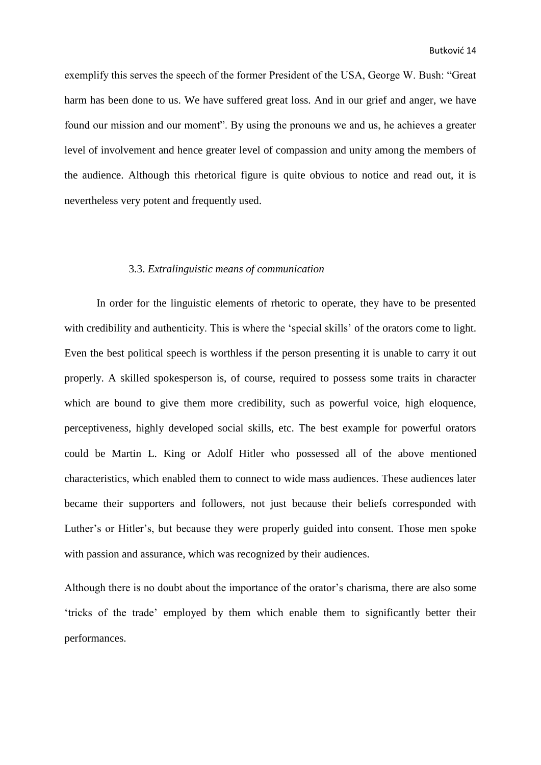exemplify this serves the speech of the former President of the USA, George W. Bush: "Great harm has been done to us. We have suffered great loss. And in our grief and anger, we have found our mission and our moment". By using the pronouns we and us, he achieves a greater level of involvement and hence greater level of compassion and unity among the members of the audience. Although this rhetorical figure is quite obvious to notice and read out, it is nevertheless very potent and frequently used.

#### <span id="page-17-0"></span>3.3. *Extralinguistic means of communication*

In order for the linguistic elements of rhetoric to operate, they have to be presented with credibility and authenticity. This is where the 'special skills' of the orators come to light. Even the best political speech is worthless if the person presenting it is unable to carry it out properly. A skilled spokesperson is, of course, required to possess some traits in character which are bound to give them more credibility, such as powerful voice, high eloquence, perceptiveness, highly developed social skills, etc. The best example for powerful orators could be Martin L. King or Adolf Hitler who possessed all of the above mentioned characteristics, which enabled them to connect to wide mass audiences. These audiences later became their supporters and followers, not just because their beliefs corresponded with Luther's or Hitler's, but because they were properly guided into consent. Those men spoke with passion and assurance, which was recognized by their audiences.

Although there is no doubt about the importance of the orator's charisma, there are also some 'tricks of the trade' employed by them which enable them to significantly better their performances.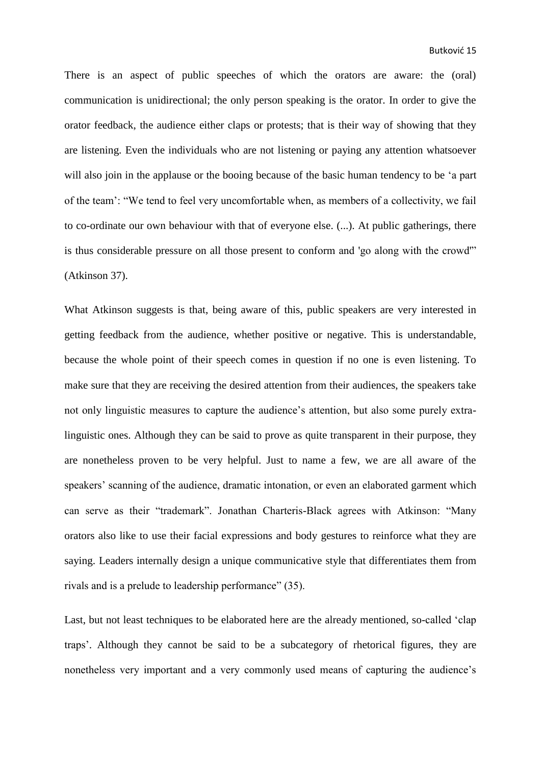There is an aspect of public speeches of which the orators are aware: the (oral) communication is unidirectional; the only person speaking is the orator. In order to give the orator feedback, the audience either claps or protests; that is their way of showing that they are listening. Even the individuals who are not listening or paying any attention whatsoever will also join in the applause or the booing because of the basic human tendency to be 'a part of the team': "We tend to feel very uncomfortable when, as members of a collectivity, we fail to co-ordinate our own behaviour with that of everyone else. (...). At public gatherings, there is thus considerable pressure on all those present to conform and 'go along with the crowd'" (Atkinson 37).

What Atkinson suggests is that, being aware of this, public speakers are very interested in getting feedback from the audience, whether positive or negative. This is understandable, because the whole point of their speech comes in question if no one is even listening. To make sure that they are receiving the desired attention from their audiences, the speakers take not only linguistic measures to capture the audience's attention, but also some purely extralinguistic ones. Although they can be said to prove as quite transparent in their purpose, they are nonetheless proven to be very helpful. Just to name a few, we are all aware of the speakers' scanning of the audience, dramatic intonation, or even an elaborated garment which can serve as their "trademark". Jonathan Charteris-Black agrees with Atkinson: "Many orators also like to use their facial expressions and body gestures to reinforce what they are saying. Leaders internally design a unique communicative style that differentiates them from rivals and is a prelude to leadership performance" (35).

Last, but not least techniques to be elaborated here are the already mentioned, so-called 'clap traps'. Although they cannot be said to be a subcategory of rhetorical figures, they are nonetheless very important and a very commonly used means of capturing the audience's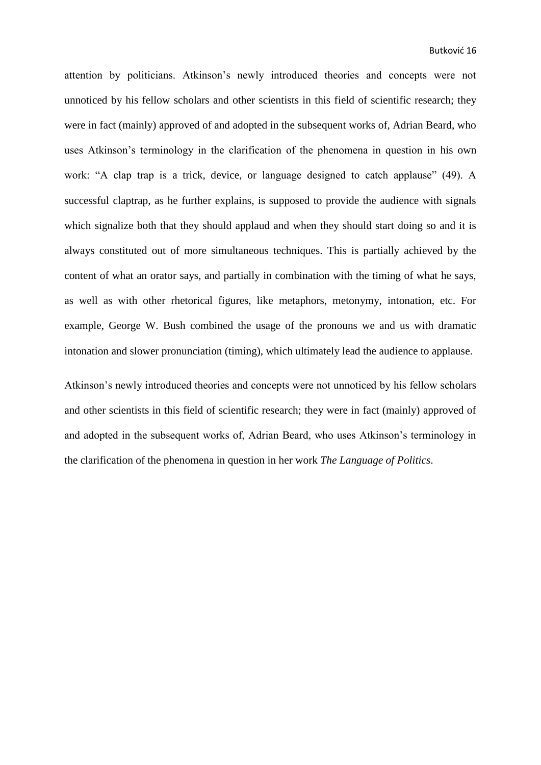attention by politicians. Atkinson's newly introduced theories and concepts were not unnoticed by his fellow scholars and other scientists in this field of scientific research; they were in fact (mainly) approved of and adopted in the subsequent works of, Adrian Beard, who uses Atkinson's terminology in the clarification of the phenomena in question in his own work: "A clap trap is a trick, device, or language designed to catch applause" (49). A successful claptrap, as he further explains, is supposed to provide the audience with signals which signalize both that they should applaud and when they should start doing so and it is always constituted out of more simultaneous techniques. This is partially achieved by the content of what an orator says, and partially in combination with the timing of what he says, as well as with other rhetorical figures, like metaphors, metonymy, intonation, etc. For example, George W. Bush combined the usage of the pronouns we and us with dramatic intonation and slower pronunciation (timing), which ultimately lead the audience to applause.

Atkinson's newly introduced theories and concepts were not unnoticed by his fellow scholars and other scientists in this field of scientific research; they were in fact (mainly) approved of and adopted in the subsequent works of, Adrian Beard, who uses Atkinson's terminology in the clarification of the phenomena in question in her work *The Language of Politics*.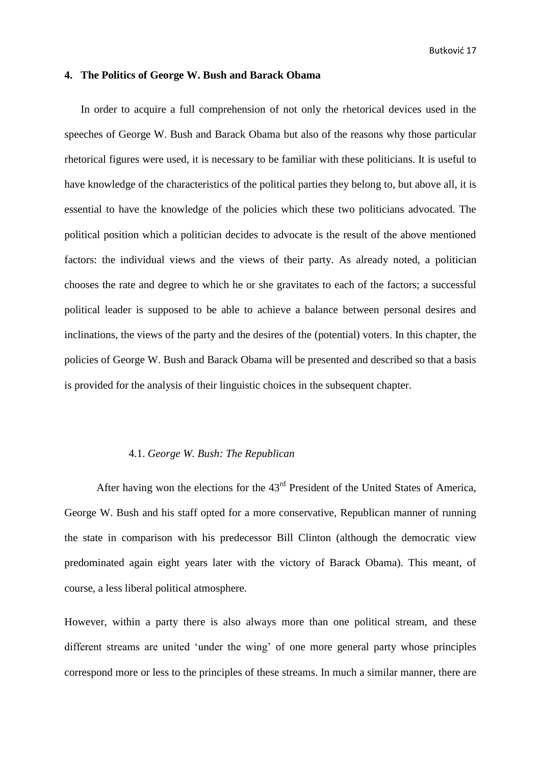# <span id="page-20-0"></span>**4. The Politics of George W. Bush and Barack Obama**

In order to acquire a full comprehension of not only the rhetorical devices used in the speeches of George W. Bush and Barack Obama but also of the reasons why those particular rhetorical figures were used, it is necessary to be familiar with these politicians. It is useful to have knowledge of the characteristics of the political parties they belong to, but above all, it is essential to have the knowledge of the policies which these two politicians advocated. The political position which a politician decides to advocate is the result of the above mentioned factors: the individual views and the views of their party. As already noted, a politician chooses the rate and degree to which he or she gravitates to each of the factors; a successful political leader is supposed to be able to achieve a balance between personal desires and inclinations, the views of the party and the desires of the (potential) voters. In this chapter, the policies of George W. Bush and Barack Obama will be presented and described so that a basis is provided for the analysis of their linguistic choices in the subsequent chapter.

#### <span id="page-20-1"></span>4.1. *George W. Bush: The Republican*

After having won the elections for the  $43<sup>rd</sup>$  President of the United States of America, George W. Bush and his staff opted for a more conservative, Republican manner of running the state in comparison with his predecessor Bill Clinton (although the democratic view predominated again eight years later with the victory of Barack Obama). This meant, of course, a less liberal political atmosphere.

However, within a party there is also always more than one political stream, and these different streams are united 'under the wing' of one more general party whose principles correspond more or less to the principles of these streams. In much a similar manner, there are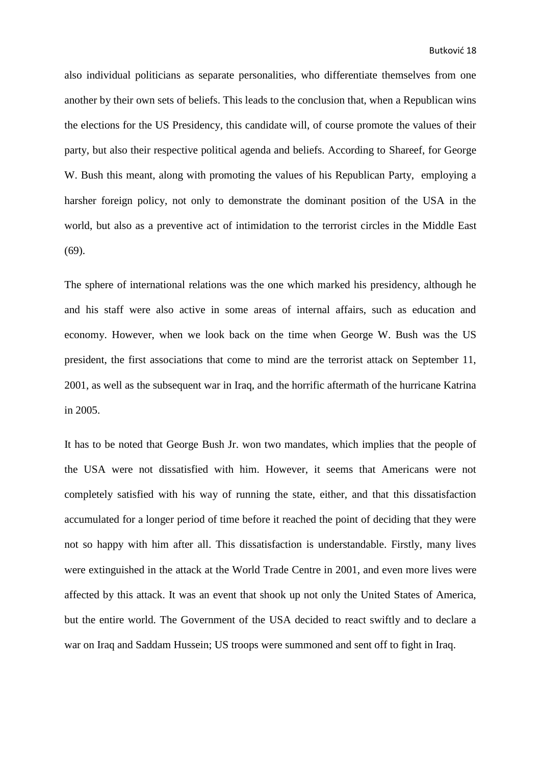also individual politicians as separate personalities, who differentiate themselves from one another by their own sets of beliefs. This leads to the conclusion that, when a Republican wins the elections for the US Presidency, this candidate will, of course promote the values of their party, but also their respective political agenda and beliefs. According to Shareef, for George W. Bush this meant, along with promoting the values of his Republican Party, employing a harsher foreign policy, not only to demonstrate the dominant position of the USA in the world, but also as a preventive act of intimidation to the terrorist circles in the Middle East (69).

The sphere of international relations was the one which marked his presidency, although he and his staff were also active in some areas of internal affairs, such as education and economy. However, when we look back on the time when George W. Bush was the US president, the first associations that come to mind are the terrorist attack on September 11, 2001, as well as the subsequent war in Iraq, and the horrific aftermath of the hurricane Katrina in 2005.

It has to be noted that George Bush Jr. won two mandates, which implies that the people of the USA were not dissatisfied with him. However, it seems that Americans were not completely satisfied with his way of running the state, either, and that this dissatisfaction accumulated for a longer period of time before it reached the point of deciding that they were not so happy with him after all. This dissatisfaction is understandable. Firstly, many lives were extinguished in the attack at the World Trade Centre in 2001, and even more lives were affected by this attack. It was an event that shook up not only the United States of America, but the entire world. The Government of the USA decided to react swiftly and to declare a war on Iraq and Saddam Hussein; US troops were summoned and sent off to fight in Iraq.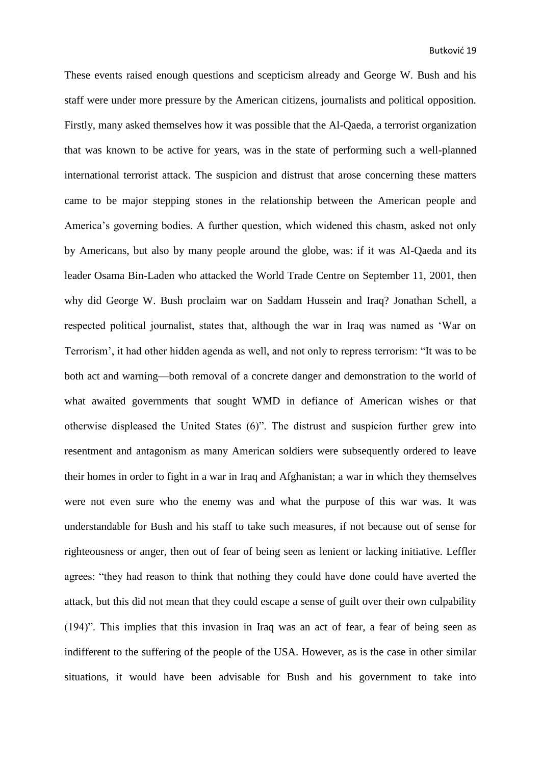These events raised enough questions and scepticism already and George W. Bush and his staff were under more pressure by the American citizens, journalists and political opposition. Firstly, many asked themselves how it was possible that the Al-Qaeda, a terrorist organization that was known to be active for years, was in the state of performing such a well-planned international terrorist attack. The suspicion and distrust that arose concerning these matters came to be major stepping stones in the relationship between the American people and America's governing bodies. A further question, which widened this chasm, asked not only by Americans, but also by many people around the globe, was: if it was Al-Qaeda and its leader Osama Bin-Laden who attacked the World Trade Centre on September 11, 2001, then why did George W. Bush proclaim war on Saddam Hussein and Iraq? Jonathan Schell, a respected political journalist, states that, although the war in Iraq was named as 'War on Terrorism', it had other hidden agenda as well, and not only to repress terrorism: "It was to be both act and warning—both removal of a concrete danger and demonstration to the world of what awaited governments that sought WMD in defiance of American wishes or that otherwise displeased the United States (6)". The distrust and suspicion further grew into resentment and antagonism as many American soldiers were subsequently ordered to leave their homes in order to fight in a war in Iraq and Afghanistan; a war in which they themselves were not even sure who the enemy was and what the purpose of this war was. It was understandable for Bush and his staff to take such measures, if not because out of sense for righteousness or anger, then out of fear of being seen as lenient or lacking initiative. Leffler agrees: "they had reason to think that nothing they could have done could have averted the attack, but this did not mean that they could escape a sense of guilt over their own culpability (194)". This implies that this invasion in Iraq was an act of fear, a fear of being seen as indifferent to the suffering of the people of the USA. However, as is the case in other similar situations, it would have been advisable for Bush and his government to take into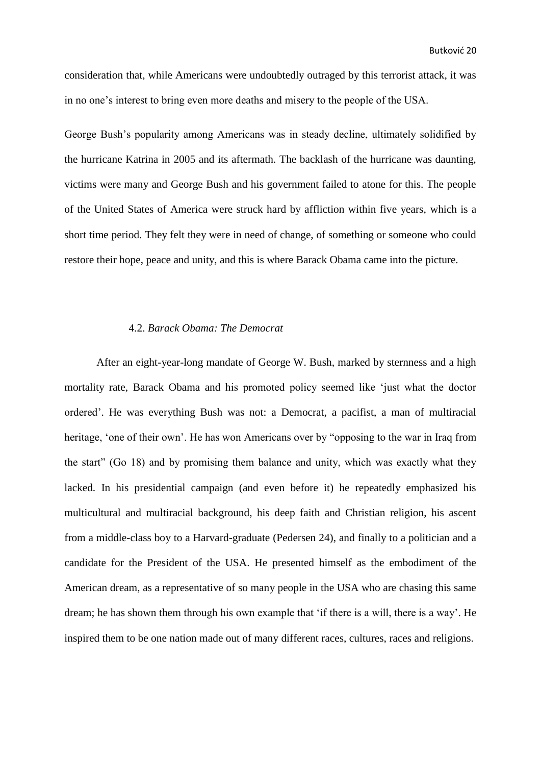consideration that, while Americans were undoubtedly outraged by this terrorist attack, it was in no one's interest to bring even more deaths and misery to the people of the USA.

George Bush's popularity among Americans was in steady decline, ultimately solidified by the hurricane Katrina in 2005 and its aftermath. The backlash of the hurricane was daunting, victims were many and George Bush and his government failed to atone for this. The people of the United States of America were struck hard by affliction within five years, which is a short time period. They felt they were in need of change, of something or someone who could restore their hope, peace and unity, and this is where Barack Obama came into the picture.

#### <span id="page-23-0"></span>4.2. *Barack Obama: The Democrat*

After an eight-year-long mandate of George W. Bush, marked by sternness and a high mortality rate, Barack Obama and his promoted policy seemed like 'just what the doctor ordered'. He was everything Bush was not: a Democrat, a pacifist, a man of multiracial heritage, 'one of their own'. He has won Americans over by "opposing to the war in Iraq from the start" (Go 18) and by promising them balance and unity, which was exactly what they lacked. In his presidential campaign (and even before it) he repeatedly emphasized his multicultural and multiracial background, his deep faith and Christian religion, his ascent from a middle-class boy to a Harvard-graduate (Pedersen 24), and finally to a politician and a candidate for the President of the USA. He presented himself as the embodiment of the American dream, as a representative of so many people in the USA who are chasing this same dream; he has shown them through his own example that 'if there is a will, there is a way'. He inspired them to be one nation made out of many different races, cultures, races and religions.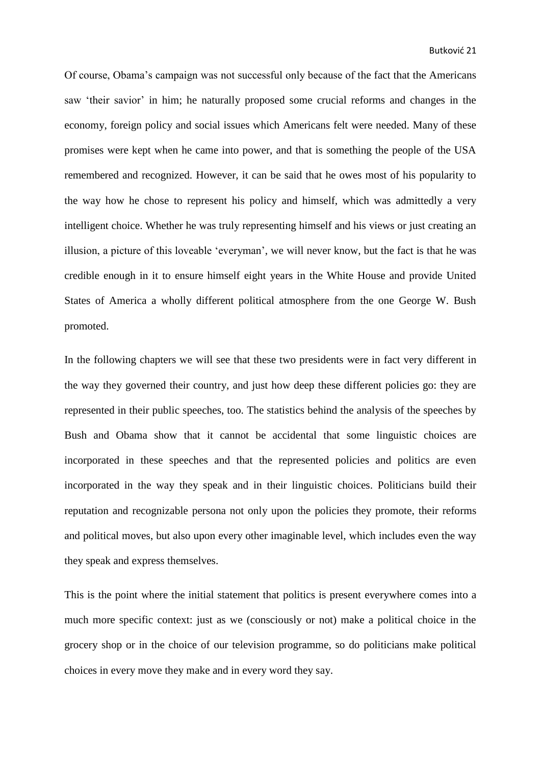Of course, Obama's campaign was not successful only because of the fact that the Americans saw 'their savior' in him; he naturally proposed some crucial reforms and changes in the economy, foreign policy and social issues which Americans felt were needed. Many of these promises were kept when he came into power, and that is something the people of the USA remembered and recognized. However, it can be said that he owes most of his popularity to the way how he chose to represent his policy and himself, which was admittedly a very intelligent choice. Whether he was truly representing himself and his views or just creating an illusion, a picture of this loveable 'everyman', we will never know, but the fact is that he was credible enough in it to ensure himself eight years in the White House and provide United States of America a wholly different political atmosphere from the one George W. Bush promoted.

In the following chapters we will see that these two presidents were in fact very different in the way they governed their country, and just how deep these different policies go: they are represented in their public speeches, too. The statistics behind the analysis of the speeches by Bush and Obama show that it cannot be accidental that some linguistic choices are incorporated in these speeches and that the represented policies and politics are even incorporated in the way they speak and in their linguistic choices. Politicians build their reputation and recognizable persona not only upon the policies they promote, their reforms and political moves, but also upon every other imaginable level, which includes even the way they speak and express themselves.

This is the point where the initial statement that politics is present everywhere comes into a much more specific context: just as we (consciously or not) make a political choice in the grocery shop or in the choice of our television programme, so do politicians make political choices in every move they make and in every word they say.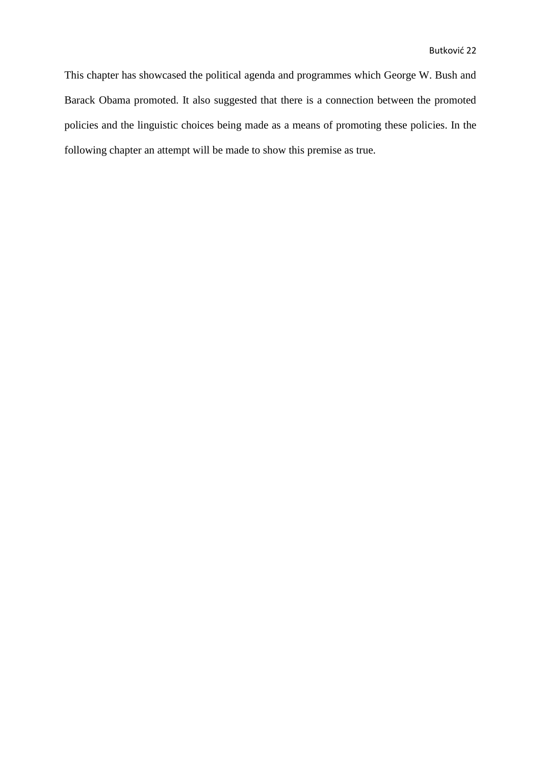This chapter has showcased the political agenda and programmes which George W. Bush and Barack Obama promoted. It also suggested that there is a connection between the promoted policies and the linguistic choices being made as a means of promoting these policies. In the following chapter an attempt will be made to show this premise as true.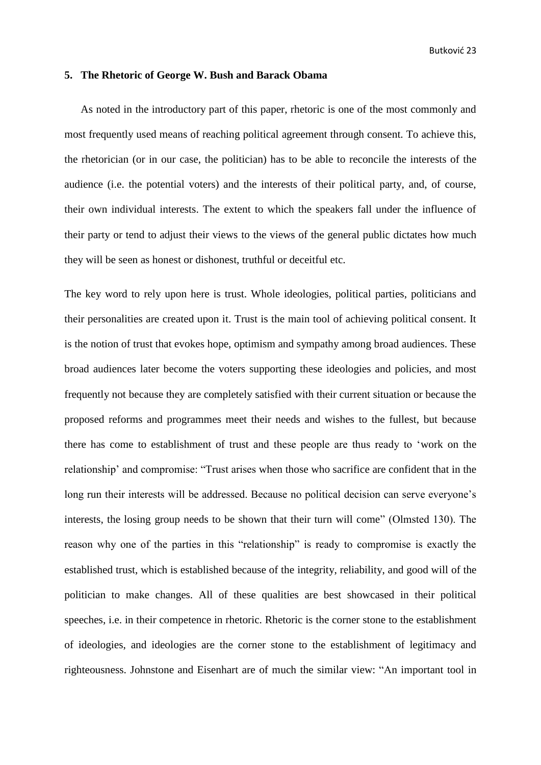# <span id="page-26-0"></span>**5. The Rhetoric of George W. Bush and Barack Obama**

As noted in the introductory part of this paper, rhetoric is one of the most commonly and most frequently used means of reaching political agreement through consent. To achieve this, the rhetorician (or in our case, the politician) has to be able to reconcile the interests of the audience (i.e. the potential voters) and the interests of their political party, and, of course, their own individual interests. The extent to which the speakers fall under the influence of their party or tend to adjust their views to the views of the general public dictates how much they will be seen as honest or dishonest, truthful or deceitful etc.

The key word to rely upon here is trust. Whole ideologies, political parties, politicians and their personalities are created upon it. Trust is the main tool of achieving political consent. It is the notion of trust that evokes hope, optimism and sympathy among broad audiences. These broad audiences later become the voters supporting these ideologies and policies, and most frequently not because they are completely satisfied with their current situation or because the proposed reforms and programmes meet their needs and wishes to the fullest, but because there has come to establishment of trust and these people are thus ready to 'work on the relationship' and compromise: "Trust arises when those who sacrifice are confident that in the long run their interests will be addressed. Because no political decision can serve everyone's interests, the losing group needs to be shown that their turn will come" (Olmsted 130). The reason why one of the parties in this "relationship" is ready to compromise is exactly the established trust, which is established because of the integrity, reliability, and good will of the politician to make changes. All of these qualities are best showcased in their political speeches, i.e. in their competence in rhetoric. Rhetoric is the corner stone to the establishment of ideologies, and ideologies are the corner stone to the establishment of legitimacy and righteousness. Johnstone and Eisenhart are of much the similar view: "An important tool in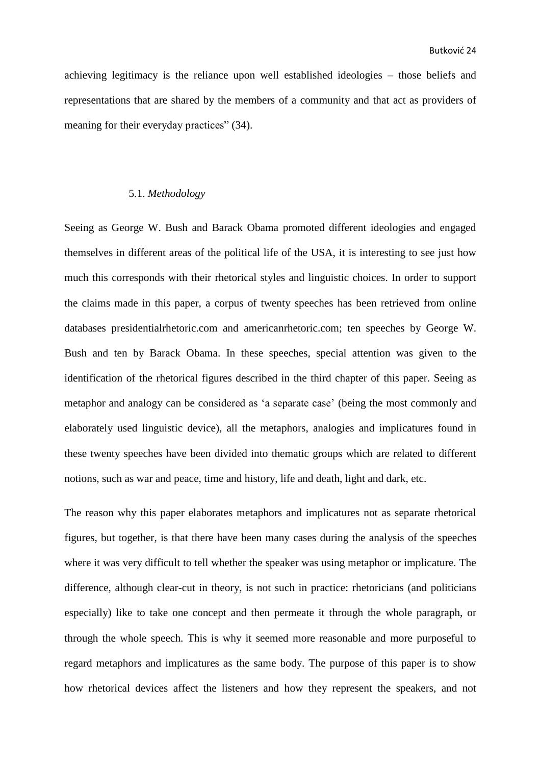achieving legitimacy is the reliance upon well established ideologies – those beliefs and representations that are shared by the members of a community and that act as providers of meaning for their everyday practices" (34).

## <span id="page-27-0"></span>5.1. *Methodology*

Seeing as George W. Bush and Barack Obama promoted different ideologies and engaged themselves in different areas of the political life of the USA, it is interesting to see just how much this corresponds with their rhetorical styles and linguistic choices. In order to support the claims made in this paper, a corpus of twenty speeches has been retrieved from online databases presidentialrhetoric.com and americanrhetoric.com; ten speeches by George W. Bush and ten by Barack Obama. In these speeches, special attention was given to the identification of the rhetorical figures described in the third chapter of this paper. Seeing as metaphor and analogy can be considered as 'a separate case' (being the most commonly and elaborately used linguistic device), all the metaphors, analogies and implicatures found in these twenty speeches have been divided into thematic groups which are related to different notions, such as war and peace, time and history, life and death, light and dark, etc.

The reason why this paper elaborates metaphors and implicatures not as separate rhetorical figures, but together, is that there have been many cases during the analysis of the speeches where it was very difficult to tell whether the speaker was using metaphor or implicature. The difference, although clear-cut in theory, is not such in practice: rhetoricians (and politicians especially) like to take one concept and then permeate it through the whole paragraph, or through the whole speech. This is why it seemed more reasonable and more purposeful to regard metaphors and implicatures as the same body. The purpose of this paper is to show how rhetorical devices affect the listeners and how they represent the speakers, and not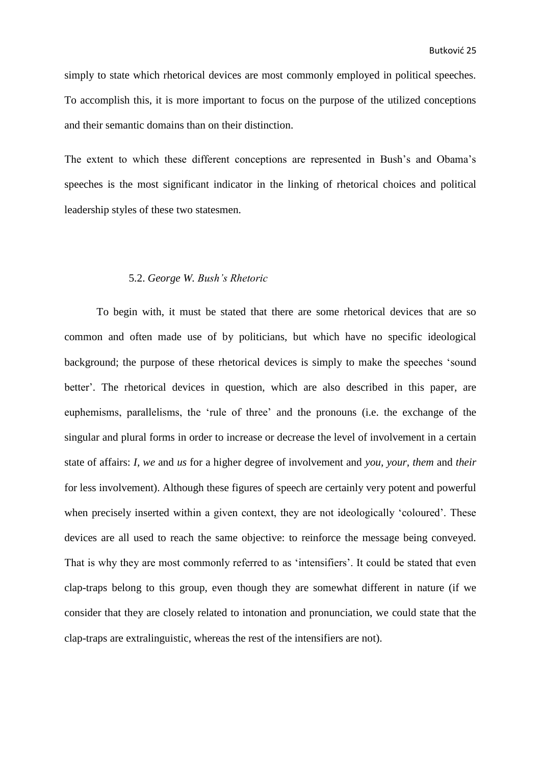simply to state which rhetorical devices are most commonly employed in political speeches. To accomplish this, it is more important to focus on the purpose of the utilized conceptions and their semantic domains than on their distinction.

The extent to which these different conceptions are represented in Bush's and Obama's speeches is the most significant indicator in the linking of rhetorical choices and political leadership styles of these two statesmen.

#### <span id="page-28-0"></span>5.2. *George W. Bush's Rhetoric*

To begin with, it must be stated that there are some rhetorical devices that are so common and often made use of by politicians, but which have no specific ideological background; the purpose of these rhetorical devices is simply to make the speeches 'sound better'. The rhetorical devices in question, which are also described in this paper, are euphemisms, parallelisms, the 'rule of three' and the pronouns (i.e. the exchange of the singular and plural forms in order to increase or decrease the level of involvement in a certain state of affairs: *I, we* and *us* for a higher degree of involvement and *you, your, them* and *their* for less involvement). Although these figures of speech are certainly very potent and powerful when precisely inserted within a given context, they are not ideologically 'coloured'. These devices are all used to reach the same objective: to reinforce the message being conveyed. That is why they are most commonly referred to as 'intensifiers'. It could be stated that even clap-traps belong to this group, even though they are somewhat different in nature (if we consider that they are closely related to intonation and pronunciation, we could state that the clap-traps are extralinguistic, whereas the rest of the intensifiers are not).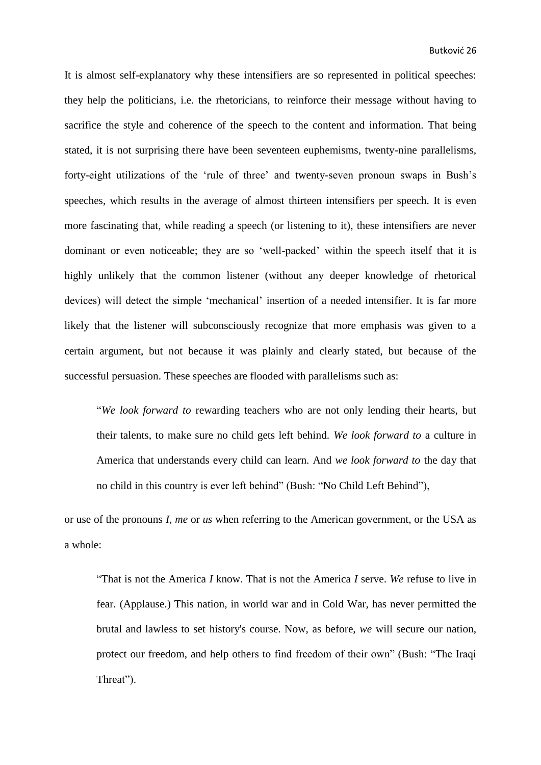It is almost self-explanatory why these intensifiers are so represented in political speeches: they help the politicians, i.e. the rhetoricians, to reinforce their message without having to sacrifice the style and coherence of the speech to the content and information. That being stated, it is not surprising there have been seventeen euphemisms, twenty-nine parallelisms, forty-eight utilizations of the 'rule of three' and twenty-seven pronoun swaps in Bush's speeches, which results in the average of almost thirteen intensifiers per speech. It is even more fascinating that, while reading a speech (or listening to it), these intensifiers are never dominant or even noticeable; they are so 'well-packed' within the speech itself that it is highly unlikely that the common listener (without any deeper knowledge of rhetorical devices) will detect the simple 'mechanical' insertion of a needed intensifier. It is far more likely that the listener will subconsciously recognize that more emphasis was given to a certain argument, but not because it was plainly and clearly stated, but because of the successful persuasion. These speeches are flooded with parallelisms such as:

"*We look forward to* rewarding teachers who are not only lending their hearts, but their talents, to make sure no child gets left behind. *We look forward to* a culture in America that understands every child can learn. And *we look forward to* the day that no child in this country is ever left behind" (Bush: "No Child Left Behind"),

or use of the pronouns *I, me* or *us* when referring to the American government, or the USA as a whole:

"That is not the America *I* know. That is not the America *I* serve. *We* refuse to live in fear. (Applause.) This nation, in world war and in Cold War, has never permitted the brutal and lawless to set history's course. Now, as before, *we* will secure our nation, protect our freedom, and help others to find freedom of their own" (Bush: "The Iraqi Threat").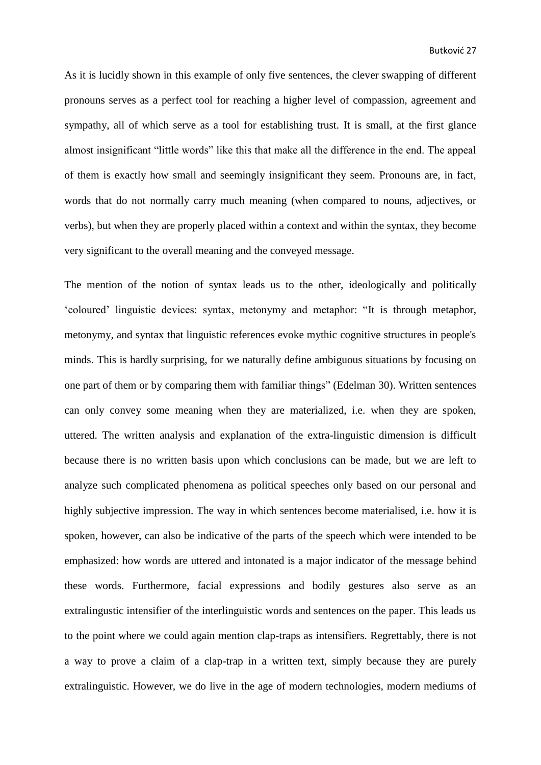As it is lucidly shown in this example of only five sentences, the clever swapping of different pronouns serves as a perfect tool for reaching a higher level of compassion, agreement and sympathy, all of which serve as a tool for establishing trust. It is small, at the first glance almost insignificant "little words" like this that make all the difference in the end. The appeal of them is exactly how small and seemingly insignificant they seem. Pronouns are, in fact, words that do not normally carry much meaning (when compared to nouns, adjectives, or verbs), but when they are properly placed within a context and within the syntax, they become very significant to the overall meaning and the conveyed message.

The mention of the notion of syntax leads us to the other, ideologically and politically 'coloured' linguistic devices: syntax, metonymy and metaphor: "It is through metaphor, metonymy, and syntax that linguistic references evoke mythic cognitive structures in people's minds. This is hardly surprising, for we naturally define ambiguous situations by focusing on one part of them or by comparing them with familiar things" (Edelman 30). Written sentences can only convey some meaning when they are materialized, i.e. when they are spoken, uttered. The written analysis and explanation of the extra-linguistic dimension is difficult because there is no written basis upon which conclusions can be made, but we are left to analyze such complicated phenomena as political speeches only based on our personal and highly subjective impression. The way in which sentences become materialised, i.e. how it is spoken, however, can also be indicative of the parts of the speech which were intended to be emphasized: how words are uttered and intonated is a major indicator of the message behind these words. Furthermore, facial expressions and bodily gestures also serve as an extralingustic intensifier of the interlinguistic words and sentences on the paper. This leads us to the point where we could again mention clap-traps as intensifiers. Regrettably, there is not a way to prove a claim of a clap-trap in a written text, simply because they are purely extralinguistic. However, we do live in the age of modern technologies, modern mediums of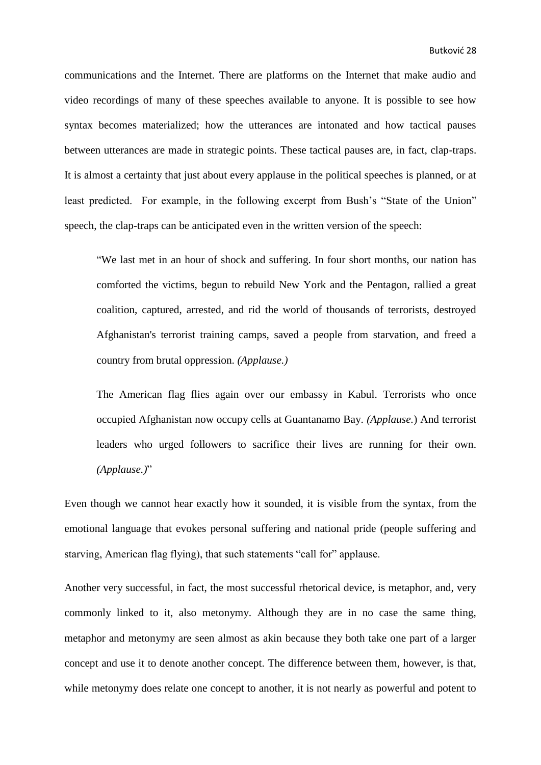communications and the Internet. There are platforms on the Internet that make audio and video recordings of many of these speeches available to anyone. It is possible to see how syntax becomes materialized; how the utterances are intonated and how tactical pauses between utterances are made in strategic points. These tactical pauses are, in fact, clap-traps. It is almost a certainty that just about every applause in the political speeches is planned, or at least predicted. For example, in the following excerpt from Bush's "State of the Union" speech, the clap-traps can be anticipated even in the written version of the speech:

"We last met in an hour of shock and suffering. In four short months, our nation has comforted the victims, begun to rebuild New York and the Pentagon, rallied a great coalition, captured, arrested, and rid the world of thousands of terrorists, destroyed Afghanistan's terrorist training camps, saved a people from starvation, and freed a country from brutal oppression. *(Applause.)*

The American flag flies again over our embassy in Kabul. Terrorists who once occupied Afghanistan now occupy cells at Guantanamo Bay. *(Applause.*) And terrorist leaders who urged followers to sacrifice their lives are running for their own. *(Applause.)*"

Even though we cannot hear exactly how it sounded, it is visible from the syntax, from the emotional language that evokes personal suffering and national pride (people suffering and starving, American flag flying), that such statements "call for" applause.

Another very successful, in fact, the most successful rhetorical device, is metaphor, and, very commonly linked to it, also metonymy. Although they are in no case the same thing, metaphor and metonymy are seen almost as akin because they both take one part of a larger concept and use it to denote another concept. The difference between them, however, is that, while metonymy does relate one concept to another, it is not nearly as powerful and potent to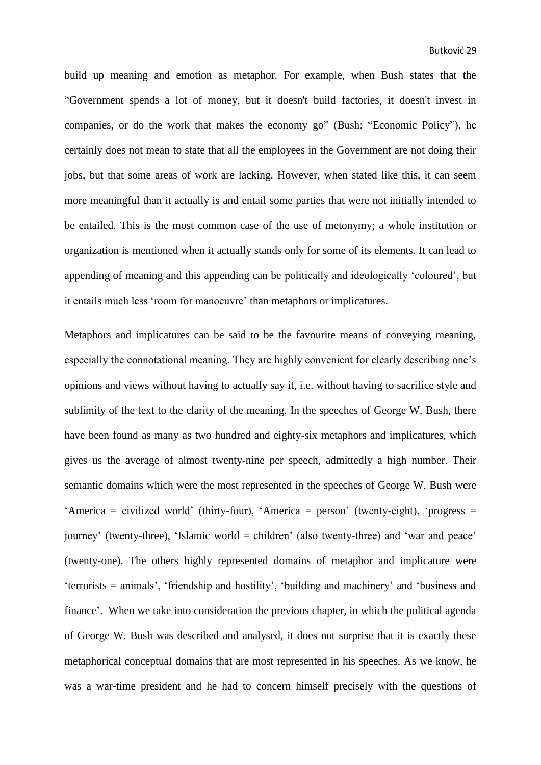build up meaning and emotion as metaphor. For example, when Bush states that the "Government spends a lot of money, but it doesn't build factories, it doesn't invest in companies, or do the work that makes the economy go" (Bush: "Economic Policy"), he certainly does not mean to state that all the employees in the Government are not doing their jobs, but that some areas of work are lacking. However, when stated like this, it can seem more meaningful than it actually is and entail some parties that were not initially intended to be entailed. This is the most common case of the use of metonymy; a whole institution or organization is mentioned when it actually stands only for some of its elements. It can lead to appending of meaning and this appending can be politically and ideologically 'coloured', but it entails much less 'room for manoeuvre' than metaphors or implicatures.

Metaphors and implicatures can be said to be the favourite means of conveying meaning, especially the connotational meaning. They are highly convenient for clearly describing one's opinions and views without having to actually say it, i.e. without having to sacrifice style and sublimity of the text to the clarity of the meaning. In the speeches of George W. Bush, there have been found as many as two hundred and eighty-six metaphors and implicatures, which gives us the average of almost twenty-nine per speech, admittedly a high number. Their semantic domains which were the most represented in the speeches of George W. Bush were 'America = civilized world' (thirty-four), 'America = person' (twenty-eight), 'progress = journey' (twenty-three), 'Islamic world = children' (also twenty-three) and 'war and peace' (twenty-one). The others highly represented domains of metaphor and implicature were 'terrorists = animals', 'friendship and hostility', 'building and machinery' and 'business and finance'. When we take into consideration the previous chapter, in which the political agenda of George W. Bush was described and analysed, it does not surprise that it is exactly these metaphorical conceptual domains that are most represented in his speeches. As we know, he was a war-time president and he had to concern himself precisely with the questions of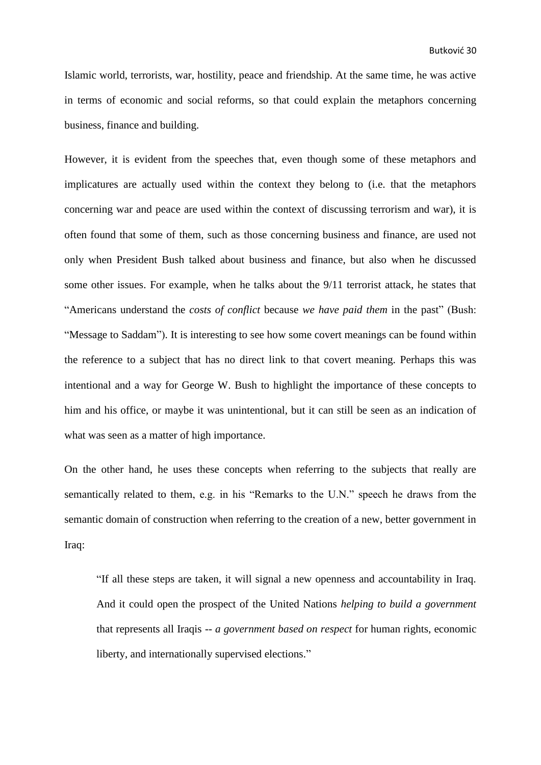Islamic world, terrorists, war, hostility, peace and friendship. At the same time, he was active in terms of economic and social reforms, so that could explain the metaphors concerning business, finance and building.

However, it is evident from the speeches that, even though some of these metaphors and implicatures are actually used within the context they belong to (i.e. that the metaphors concerning war and peace are used within the context of discussing terrorism and war), it is often found that some of them, such as those concerning business and finance, are used not only when President Bush talked about business and finance, but also when he discussed some other issues. For example, when he talks about the 9/11 terrorist attack, he states that "Americans understand the *costs of conflict* because *we have paid them* in the past" (Bush: "Message to Saddam"). It is interesting to see how some covert meanings can be found within the reference to a subject that has no direct link to that covert meaning. Perhaps this was intentional and a way for George W. Bush to highlight the importance of these concepts to him and his office, or maybe it was unintentional, but it can still be seen as an indication of what was seen as a matter of high importance.

On the other hand, he uses these concepts when referring to the subjects that really are semantically related to them, e.g. in his "Remarks to the U.N." speech he draws from the semantic domain of construction when referring to the creation of a new, better government in Iraq:

"If all these steps are taken, it will signal a new openness and accountability in Iraq. And it could open the prospect of the United Nations *helping to build a government* that represents all Iraqis -- *a government based on respect* for human rights, economic liberty, and internationally supervised elections."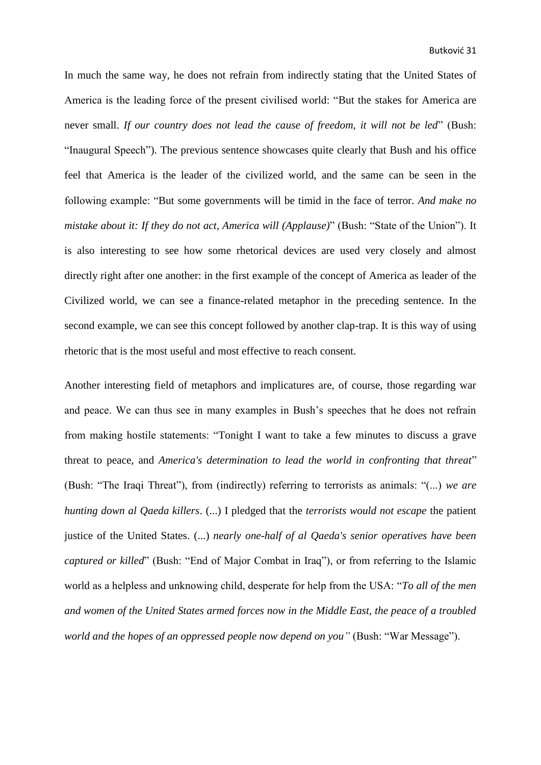In much the same way, he does not refrain from indirectly stating that the United States of America is the leading force of the present civilised world: "But the stakes for America are never small. *If our country does not lead the cause of freedom, it will not be led*" (Bush: "Inaugural Speech"). The previous sentence showcases quite clearly that Bush and his office feel that America is the leader of the civilized world, and the same can be seen in the following example: "But some governments will be timid in the face of terror. *And make no mistake about it: If they do not act, America will (Applause)*" (Bush: "State of the Union"). It is also interesting to see how some rhetorical devices are used very closely and almost directly right after one another: in the first example of the concept of America as leader of the Civilized world, we can see a finance-related metaphor in the preceding sentence. In the second example, we can see this concept followed by another clap-trap. It is this way of using rhetoric that is the most useful and most effective to reach consent.

Another interesting field of metaphors and implicatures are, of course, those regarding war and peace. We can thus see in many examples in Bush's speeches that he does not refrain from making hostile statements: "Tonight I want to take a few minutes to discuss a grave threat to peace, and *America's determination to lead the world in confronting that threat*" (Bush: "The Iraqi Threat"), from (indirectly) referring to terrorists as animals: "(...) *we are hunting down al Qaeda killers*. (...) I pledged that the *terrorists would not escape* the patient justice of the United States. (...) *nearly one-half of al Qaeda's senior operatives have been captured or killed*" (Bush: "End of Major Combat in Iraq"), or from referring to the Islamic world as a helpless and unknowing child, desperate for help from the USA: "*To all of the men and women of the United States armed forces now in the Middle East, the peace of a troubled world and the hopes of an oppressed people now depend on you"* (Bush: "War Message").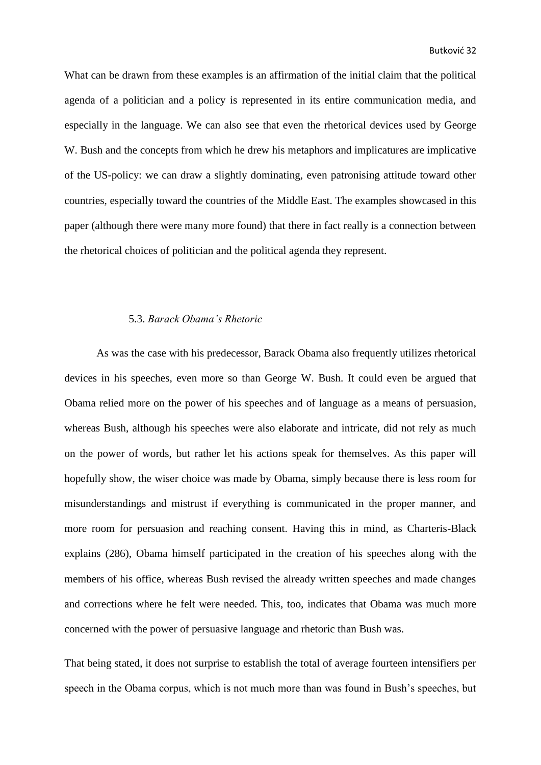What can be drawn from these examples is an affirmation of the initial claim that the political agenda of a politician and a policy is represented in its entire communication media, and especially in the language. We can also see that even the rhetorical devices used by George W. Bush and the concepts from which he drew his metaphors and implicatures are implicative of the US-policy: we can draw a slightly dominating, even patronising attitude toward other countries, especially toward the countries of the Middle East. The examples showcased in this paper (although there were many more found) that there in fact really is a connection between the rhetorical choices of politician and the political agenda they represent.

#### <span id="page-35-0"></span>5.3. *Barack Obama's Rhetoric*

As was the case with his predecessor, Barack Obama also frequently utilizes rhetorical devices in his speeches, even more so than George W. Bush. It could even be argued that Obama relied more on the power of his speeches and of language as a means of persuasion, whereas Bush, although his speeches were also elaborate and intricate, did not rely as much on the power of words, but rather let his actions speak for themselves. As this paper will hopefully show, the wiser choice was made by Obama, simply because there is less room for misunderstandings and mistrust if everything is communicated in the proper manner, and more room for persuasion and reaching consent. Having this in mind, as Charteris-Black explains (286), Obama himself participated in the creation of his speeches along with the members of his office, whereas Bush revised the already written speeches and made changes and corrections where he felt were needed. This, too, indicates that Obama was much more concerned with the power of persuasive language and rhetoric than Bush was.

That being stated, it does not surprise to establish the total of average fourteen intensifiers per speech in the Obama corpus, which is not much more than was found in Bush's speeches, but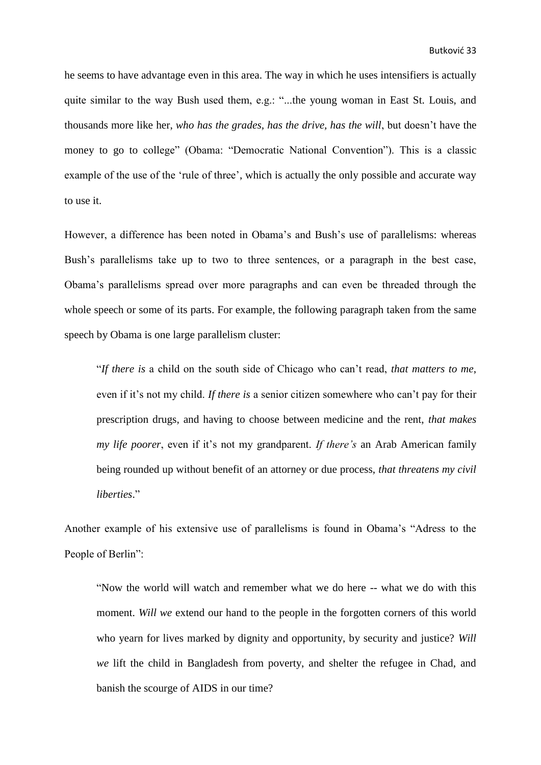he seems to have advantage even in this area. The way in which he uses intensifiers is actually quite similar to the way Bush used them, e.g.: "...the young woman in East St. Louis, and thousands more like her, *who has the grades, has the drive, has the will*, but doesn't have the money to go to college" (Obama: "Democratic National Convention"). This is a classic example of the use of the 'rule of three', which is actually the only possible and accurate way to use it.

However, a difference has been noted in Obama's and Bush's use of parallelisms: whereas Bush's parallelisms take up to two to three sentences, or a paragraph in the best case, Obama's parallelisms spread over more paragraphs and can even be threaded through the whole speech or some of its parts. For example, the following paragraph taken from the same speech by Obama is one large parallelism cluster:

"*If there is* a child on the south side of Chicago who can't read, *that matters to me*, even if it's not my child. *If there is* a senior citizen somewhere who can't pay for their prescription drugs, and having to choose between medicine and the rent, *that makes my life poorer*, even if it's not my grandparent. *If there's* an Arab American family being rounded up without benefit of an attorney or due process, *that threatens my civil liberties*."

Another example of his extensive use of parallelisms is found in Obama's "Adress to the People of Berlin":

"Now the world will watch and remember what we do here -- what we do with this moment. *Will we* extend our hand to the people in the forgotten corners of this world who yearn for lives marked by dignity and opportunity, by security and justice? *Will we* lift the child in Bangladesh from poverty, and shelter the refugee in Chad, and banish the scourge of AIDS in our time?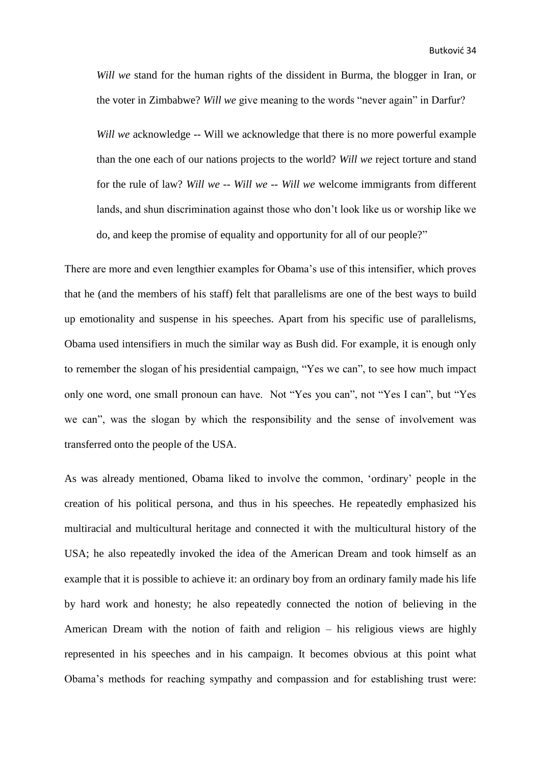*Will we* stand for the human rights of the dissident in Burma, the blogger in Iran, or the voter in Zimbabwe? *Will we* give meaning to the words "never again" in Darfur?

*Will we* acknowledge -- Will we acknowledge that there is no more powerful example than the one each of our nations projects to the world? *Will we* reject torture and stand for the rule of law? *Will we -- Will we -- Will we* welcome immigrants from different lands, and shun discrimination against those who don't look like us or worship like we do, and keep the promise of equality and opportunity for all of our people?"

There are more and even lengthier examples for Obama's use of this intensifier, which proves that he (and the members of his staff) felt that parallelisms are one of the best ways to build up emotionality and suspense in his speeches. Apart from his specific use of parallelisms, Obama used intensifiers in much the similar way as Bush did. For example, it is enough only to remember the slogan of his presidential campaign, "Yes we can", to see how much impact only one word, one small pronoun can have. Not "Yes you can", not "Yes I can", but "Yes we can", was the slogan by which the responsibility and the sense of involvement was transferred onto the people of the USA.

As was already mentioned, Obama liked to involve the common, 'ordinary' people in the creation of his political persona, and thus in his speeches. He repeatedly emphasized his multiracial and multicultural heritage and connected it with the multicultural history of the USA; he also repeatedly invoked the idea of the American Dream and took himself as an example that it is possible to achieve it: an ordinary boy from an ordinary family made his life by hard work and honesty; he also repeatedly connected the notion of believing in the American Dream with the notion of faith and religion – his religious views are highly represented in his speeches and in his campaign. It becomes obvious at this point what Obama's methods for reaching sympathy and compassion and for establishing trust were: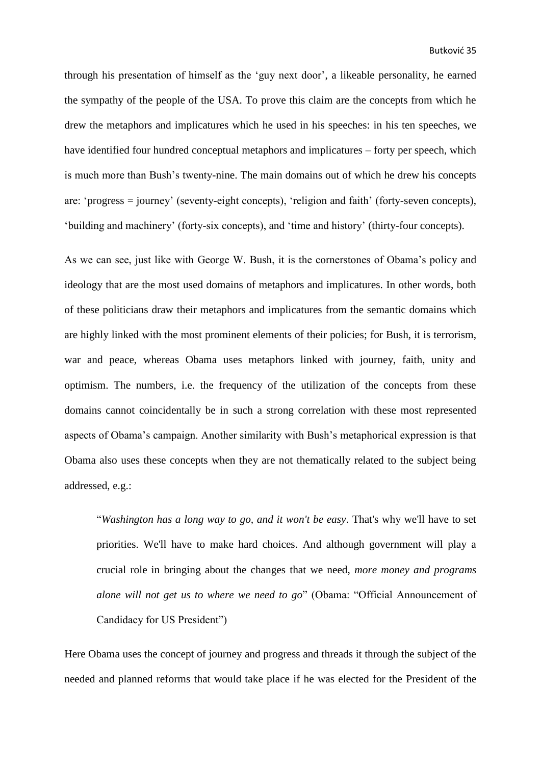through his presentation of himself as the 'guy next door', a likeable personality, he earned the sympathy of the people of the USA. To prove this claim are the concepts from which he drew the metaphors and implicatures which he used in his speeches: in his ten speeches, we have identified four hundred conceptual metaphors and implicatures – forty per speech, which is much more than Bush's twenty-nine. The main domains out of which he drew his concepts are: 'progress = journey' (seventy-eight concepts), 'religion and faith' (forty-seven concepts), 'building and machinery' (forty-six concepts), and 'time and history' (thirty-four concepts).

As we can see, just like with George W. Bush, it is the cornerstones of Obama's policy and ideology that are the most used domains of metaphors and implicatures. In other words, both of these politicians draw their metaphors and implicatures from the semantic domains which are highly linked with the most prominent elements of their policies; for Bush, it is terrorism, war and peace, whereas Obama uses metaphors linked with journey, faith, unity and optimism. The numbers, i.e. the frequency of the utilization of the concepts from these domains cannot coincidentally be in such a strong correlation with these most represented aspects of Obama's campaign. Another similarity with Bush's metaphorical expression is that Obama also uses these concepts when they are not thematically related to the subject being addressed, e.g.:

"*Washington has a long way to go, and it won't be easy*. That's why we'll have to set priorities. We'll have to make hard choices. And although government will play a crucial role in bringing about the changes that we need, *more money and programs alone will not get us to where we need to go*" (Obama: "Official Announcement of Candidacy for US President")

Here Obama uses the concept of journey and progress and threads it through the subject of the needed and planned reforms that would take place if he was elected for the President of the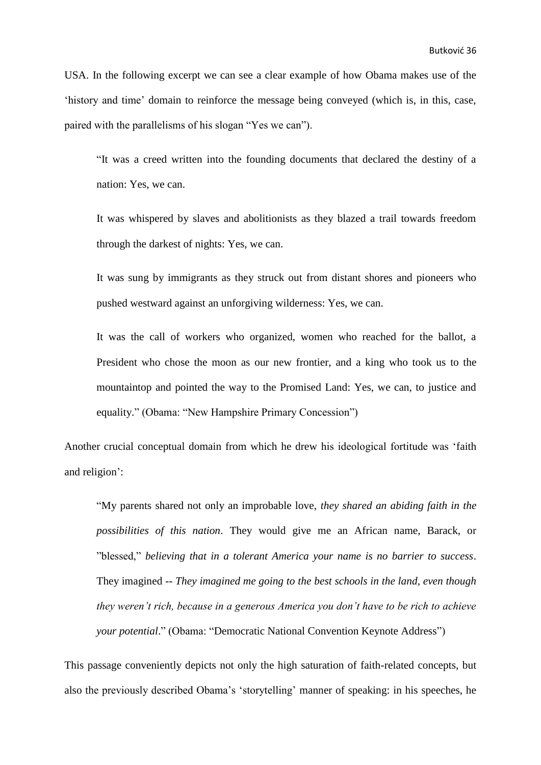USA. In the following excerpt we can see a clear example of how Obama makes use of the 'history and time' domain to reinforce the message being conveyed (which is, in this, case, paired with the parallelisms of his slogan "Yes we can").

"It was a creed written into the founding documents that declared the destiny of a nation: Yes, we can.

It was whispered by slaves and abolitionists as they blazed a trail towards freedom through the darkest of nights: Yes, we can.

It was sung by immigrants as they struck out from distant shores and pioneers who pushed westward against an unforgiving wilderness: Yes, we can.

It was the call of workers who organized, women who reached for the ballot, a President who chose the moon as our new frontier, and a king who took us to the mountaintop and pointed the way to the Promised Land: Yes, we can, to justice and equality." (Obama: "New Hampshire Primary Concession")

Another crucial conceptual domain from which he drew his ideological fortitude was 'faith and religion':

"My parents shared not only an improbable love, *they shared an abiding faith in the possibilities of this nation*. They would give me an African name, Barack, or "blessed," *believing that in a tolerant America your name is no barrier to success*. They imagined -- *They imagined me going to the best schools in the land, even though they weren't rich, because in a generous America you don't have to be rich to achieve your potential*." (Obama: "Democratic National Convention Keynote Address")

This passage conveniently depicts not only the high saturation of faith-related concepts, but also the previously described Obama's 'storytelling' manner of speaking: in his speeches, he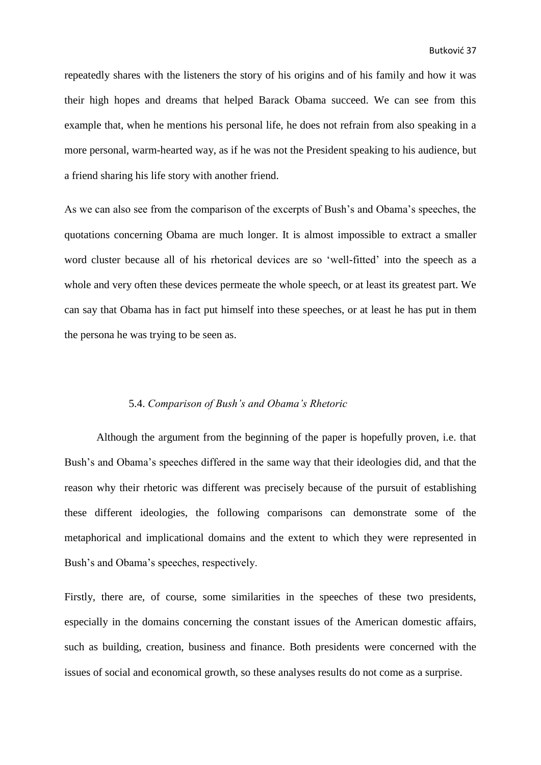repeatedly shares with the listeners the story of his origins and of his family and how it was their high hopes and dreams that helped Barack Obama succeed. We can see from this example that, when he mentions his personal life, he does not refrain from also speaking in a more personal, warm-hearted way, as if he was not the President speaking to his audience, but a friend sharing his life story with another friend.

As we can also see from the comparison of the excerpts of Bush's and Obama's speeches, the quotations concerning Obama are much longer. It is almost impossible to extract a smaller word cluster because all of his rhetorical devices are so 'well-fitted' into the speech as a whole and very often these devices permeate the whole speech, or at least its greatest part. We can say that Obama has in fact put himself into these speeches, or at least he has put in them the persona he was trying to be seen as.

#### <span id="page-40-0"></span>5.4. *Comparison of Bush's and Obama's Rhetoric*

Although the argument from the beginning of the paper is hopefully proven, i.e. that Bush's and Obama's speeches differed in the same way that their ideologies did, and that the reason why their rhetoric was different was precisely because of the pursuit of establishing these different ideologies, the following comparisons can demonstrate some of the metaphorical and implicational domains and the extent to which they were represented in Bush's and Obama's speeches, respectively.

Firstly, there are, of course, some similarities in the speeches of these two presidents, especially in the domains concerning the constant issues of the American domestic affairs, such as building, creation, business and finance. Both presidents were concerned with the issues of social and economical growth, so these analyses results do not come as a surprise.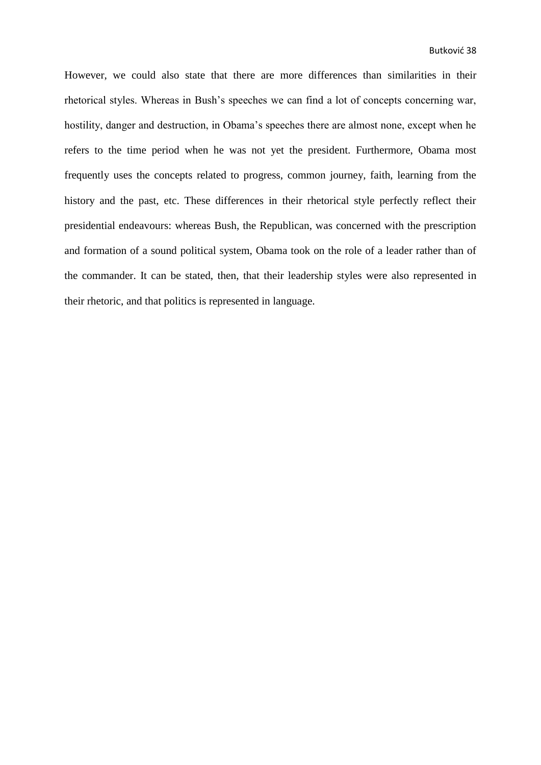However, we could also state that there are more differences than similarities in their rhetorical styles. Whereas in Bush's speeches we can find a lot of concepts concerning war, hostility, danger and destruction, in Obama's speeches there are almost none, except when he refers to the time period when he was not yet the president. Furthermore, Obama most frequently uses the concepts related to progress, common journey, faith, learning from the history and the past, etc. These differences in their rhetorical style perfectly reflect their presidential endeavours: whereas Bush, the Republican, was concerned with the prescription and formation of a sound political system, Obama took on the role of a leader rather than of the commander. It can be stated, then, that their leadership styles were also represented in their rhetoric, and that politics is represented in language.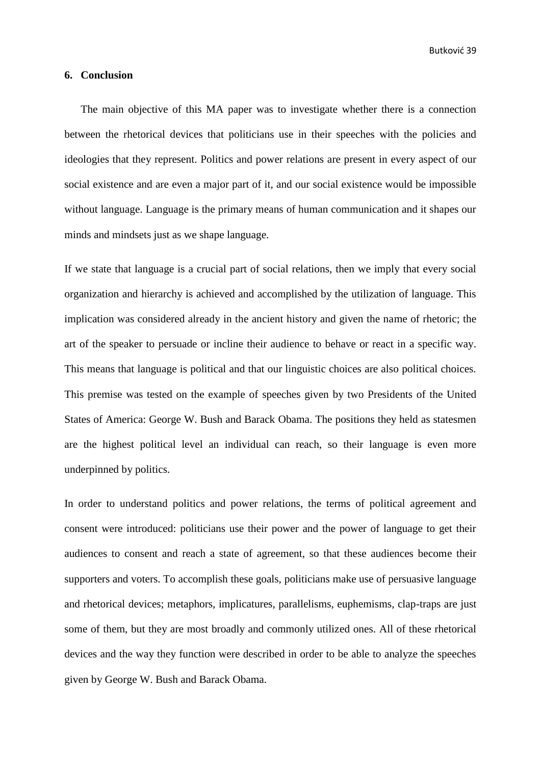Butković 39

### <span id="page-42-0"></span>**6. Conclusion**

The main objective of this MA paper was to investigate whether there is a connection between the rhetorical devices that politicians use in their speeches with the policies and ideologies that they represent. Politics and power relations are present in every aspect of our social existence and are even a major part of it, and our social existence would be impossible without language. Language is the primary means of human communication and it shapes our minds and mindsets just as we shape language.

If we state that language is a crucial part of social relations, then we imply that every social organization and hierarchy is achieved and accomplished by the utilization of language. This implication was considered already in the ancient history and given the name of rhetoric; the art of the speaker to persuade or incline their audience to behave or react in a specific way. This means that language is political and that our linguistic choices are also political choices. This premise was tested on the example of speeches given by two Presidents of the United States of America: George W. Bush and Barack Obama. The positions they held as statesmen are the highest political level an individual can reach, so their language is even more underpinned by politics.

In order to understand politics and power relations, the terms of political agreement and consent were introduced: politicians use their power and the power of language to get their audiences to consent and reach a state of agreement, so that these audiences become their supporters and voters. To accomplish these goals, politicians make use of persuasive language and rhetorical devices; metaphors, implicatures, parallelisms, euphemisms, clap-traps are just some of them, but they are most broadly and commonly utilized ones. All of these rhetorical devices and the way they function were described in order to be able to analyze the speeches given by George W. Bush and Barack Obama.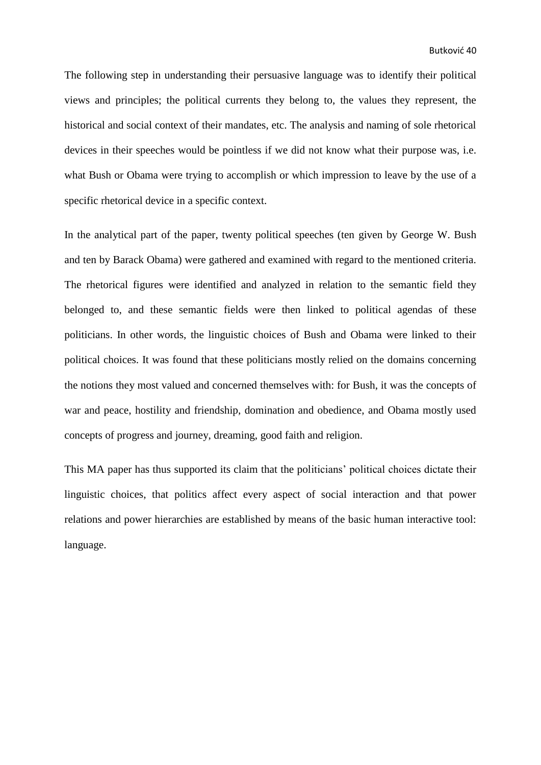The following step in understanding their persuasive language was to identify their political views and principles; the political currents they belong to, the values they represent, the historical and social context of their mandates, etc. The analysis and naming of sole rhetorical devices in their speeches would be pointless if we did not know what their purpose was, i.e. what Bush or Obama were trying to accomplish or which impression to leave by the use of a specific rhetorical device in a specific context.

In the analytical part of the paper, twenty political speeches (ten given by George W. Bush and ten by Barack Obama) were gathered and examined with regard to the mentioned criteria. The rhetorical figures were identified and analyzed in relation to the semantic field they belonged to, and these semantic fields were then linked to political agendas of these politicians. In other words, the linguistic choices of Bush and Obama were linked to their political choices. It was found that these politicians mostly relied on the domains concerning the notions they most valued and concerned themselves with: for Bush, it was the concepts of war and peace, hostility and friendship, domination and obedience, and Obama mostly used concepts of progress and journey, dreaming, good faith and religion.

This MA paper has thus supported its claim that the politicians' political choices dictate their linguistic choices, that politics affect every aspect of social interaction and that power relations and power hierarchies are established by means of the basic human interactive tool: language.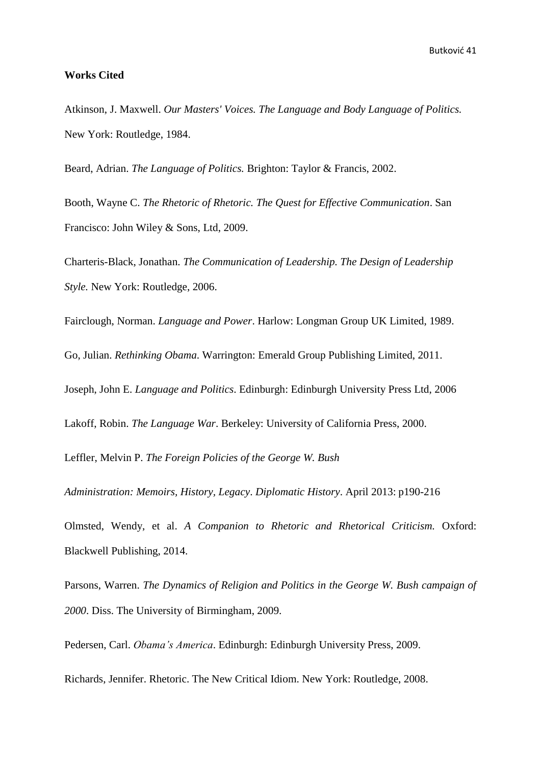# <span id="page-44-0"></span>**Works Cited**

Atkinson, J. Maxwell. *Our Masters' Voices. The Language and Body Language of Politics.* New York: Routledge, 1984.

Beard, Adrian. *The Language of Politics.* Brighton: Taylor & Francis, 2002.

Booth, Wayne C. *The Rhetoric of Rhetoric. The Quest for Effective Communication*. San Francisco: John Wiley & Sons, Ltd, 2009.

Charteris-Black, Jonathan. *The Communication of Leadership. The Design of Leadership Style.* New York: Routledge, 2006.

Fairclough, Norman. *Language and Power*. Harlow: Longman Group UK Limited, 1989.

Go, Julian. *Rethinking Obama*. Warrington: Emerald Group Publishing Limited, 2011.

Joseph, John E. *Language and Politics*. Edinburgh: Edinburgh University Press Ltd, 2006

Lakoff, Robin. *The Language War*. Berkeley: University of California Press, 2000.

Leffler, Melvin P. *The Foreign Policies of the George W. Bush*

*Administration: Memoirs, History, Legacy*. *Diplomatic History*. April 2013: p190-216

Olmsted, Wendy, et al. *A Companion to Rhetoric and Rhetorical Criticism.* Oxford: Blackwell Publishing, 2014.

Parsons, Warren. *The Dynamics of Religion and Politics in the George W. Bush campaign of 2000*. Diss. The University of Birmingham, 2009.

Pedersen, Carl. *Obama's America*. Edinburgh: Edinburgh University Press, 2009.

Richards, Jennifer. Rhetoric. The New Critical Idiom. New York: Routledge, 2008.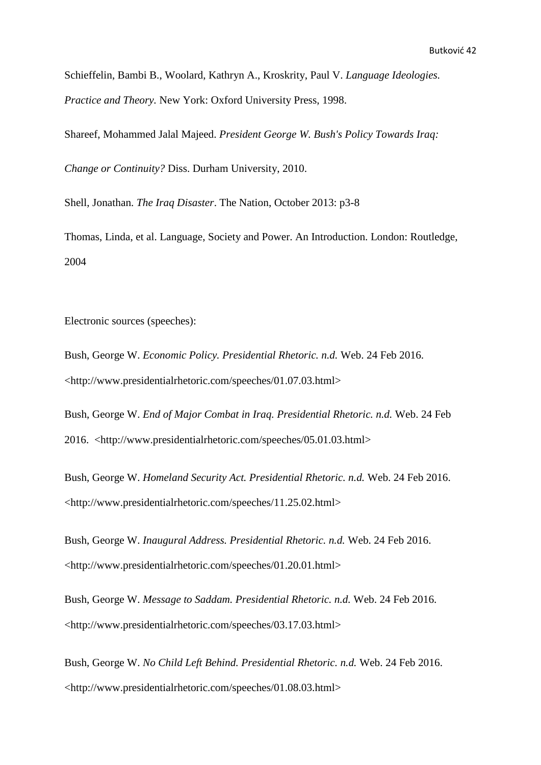Schieffelin, Bambi B., Woolard, Kathryn A., Kroskrity, Paul V. *Language Ideologies. Practice and Theory.* New York: Oxford University Press, 1998.

Shareef, Mohammed Jalal Majeed. *President George W. Bush's Policy Towards Iraq:*

*Change or Continuity?* Diss. Durham University, 2010.

Shell, Jonathan. *The Iraq Disaster*. The Nation, October 2013: p3-8

Thomas, Linda, et al. Language, Society and Power. An Introduction. London: Routledge, 2004

Electronic sources (speeches):

Bush, George W. *Economic Policy. Presidential Rhetoric. n.d.* Web. 24 Feb 2016. <http://www.presidentialrhetoric.com/speeches/01.07.03.html>

Bush, George W. *End of Major Combat in Iraq. Presidential Rhetoric. n.d.* Web. 24 Feb 2016. <http://www.presidentialrhetoric.com/speeches/05.01.03.html>

Bush, George W. *Homeland Security Act. Presidential Rhetoric. n.d.* Web. 24 Feb 2016. <http://www.presidentialrhetoric.com/speeches/11.25.02.html>

Bush, George W. *Inaugural Address. Presidential Rhetoric. n.d.* Web. 24 Feb 2016. <http://www.presidentialrhetoric.com/speeches/01.20.01.html>

Bush, George W. *Message to Saddam. Presidential Rhetoric. n.d.* Web. 24 Feb 2016. <http://www.presidentialrhetoric.com/speeches/03.17.03.html>

Bush, George W. *No Child Left Behind. Presidential Rhetoric. n.d.* Web. 24 Feb 2016. <http://www.presidentialrhetoric.com/speeches/01.08.03.html>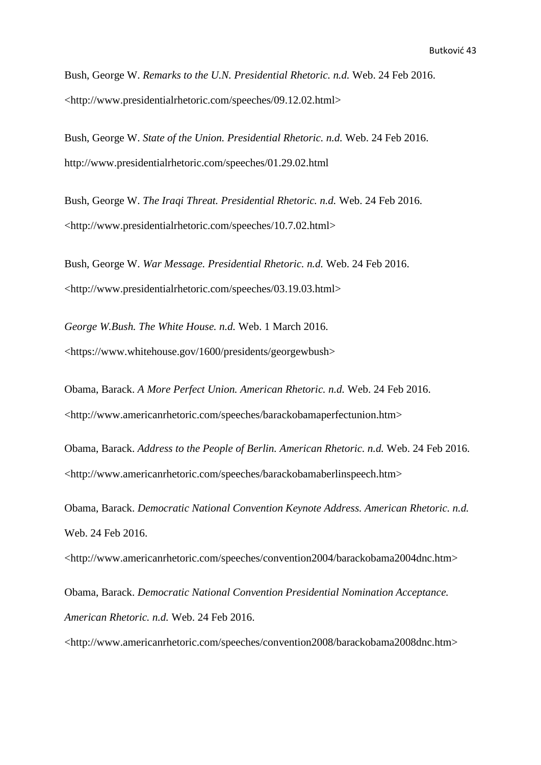Bush, George W. *Remarks to the U.N. Presidential Rhetoric. n.d.* Web. 24 Feb 2016. <http://www.presidentialrhetoric.com/speeches/09.12.02.html>

Bush, George W. *State of the Union. Presidential Rhetoric. n.d.* Web. 24 Feb 2016. http://www.presidentialrhetoric.com/speeches/01.29.02.html

Bush, George W. *The Iraqi Threat. Presidential Rhetoric. n.d.* Web. 24 Feb 2016. <http://www.presidentialrhetoric.com/speeches/10.7.02.html>

Bush, George W. *War Message. Presidential Rhetoric. n.d.* Web. 24 Feb 2016. <http://www.presidentialrhetoric.com/speeches/03.19.03.html>

*George W.Bush. The White House. n.d.* Web. 1 March 2016. <https://www.whitehouse.gov/1600/presidents/georgewbush>

Obama, Barack. *A More Perfect Union. American Rhetoric. n.d.* Web. 24 Feb 2016. <http://www.americanrhetoric.com/speeches/barackobamaperfectunion.htm>

Obama, Barack. *Address to the People of Berlin. American Rhetoric. n.d.* Web. 24 Feb 2016. <http://www.americanrhetoric.com/speeches/barackobamaberlinspeech.htm>

Obama, Barack. *Democratic National Convention Keynote Address. American Rhetoric. n.d.* Web. 24 Feb 2016.

<http://www.americanrhetoric.com/speeches/convention2004/barackobama2004dnc.htm>

Obama, Barack. *Democratic National Convention Presidential Nomination Acceptance. American Rhetoric. n.d.* Web. 24 Feb 2016.

<http://www.americanrhetoric.com/speeches/convention2008/barackobama2008dnc.htm>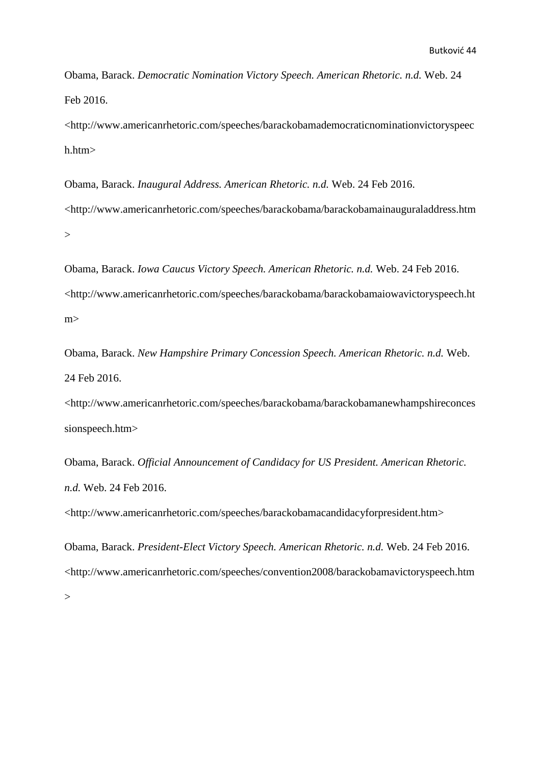Obama, Barack. *Democratic Nomination Victory Speech. American Rhetoric. n.d.* Web. 24 Feb 2016.

<http://www.americanrhetoric.com/speeches/barackobamademocraticnominationvictoryspeec h.htm>

Obama, Barack. *Inaugural Address. American Rhetoric. n.d.* Web. 24 Feb 2016. <http://www.americanrhetoric.com/speeches/barackobama/barackobamainauguraladdress.htm  $\geq$ 

Obama, Barack. *Iowa Caucus Victory Speech. American Rhetoric. n.d.* Web. 24 Feb 2016. <http://www.americanrhetoric.com/speeches/barackobama/barackobamaiowavictoryspeech.ht m>

Obama, Barack. *New Hampshire Primary Concession Speech. American Rhetoric. n.d.* Web. 24 Feb 2016.

<http://www.americanrhetoric.com/speeches/barackobama/barackobamanewhampshireconces sionspeech.htm>

Obama, Barack. *Official Announcement of Candidacy for US President. American Rhetoric. n.d.* Web. 24 Feb 2016.

<http://www.americanrhetoric.com/speeches/barackobamacandidacyforpresident.htm>

Obama, Barack. *President-Elect Victory Speech. American Rhetoric. n.d.* Web. 24 Feb 2016. <http://www.americanrhetoric.com/speeches/convention2008/barackobamavictoryspeech.htm >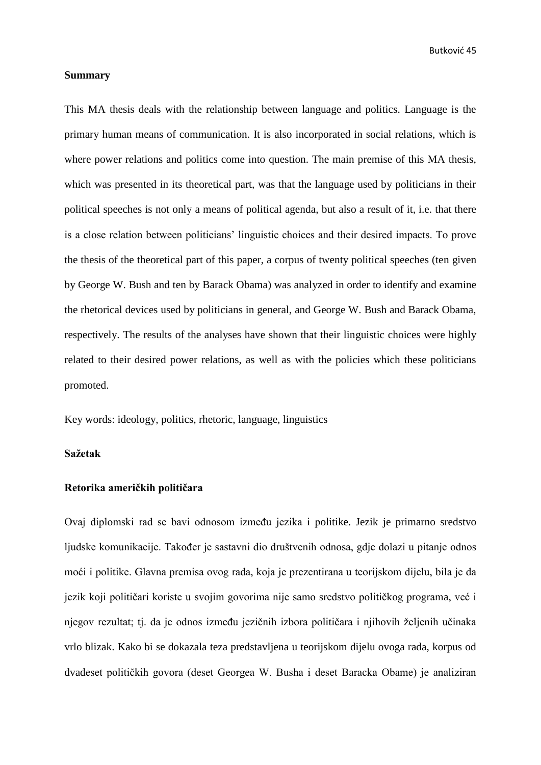Butković 45

#### <span id="page-48-0"></span>**Summary**

This MA thesis deals with the relationship between language and politics. Language is the primary human means of communication. It is also incorporated in social relations, which is where power relations and politics come into question. The main premise of this MA thesis, which was presented in its theoretical part, was that the language used by politicians in their political speeches is not only a means of political agenda, but also a result of it, i.e. that there is a close relation between politicians' linguistic choices and their desired impacts. To prove the thesis of the theoretical part of this paper, a corpus of twenty political speeches (ten given by George W. Bush and ten by Barack Obama) was analyzed in order to identify and examine the rhetorical devices used by politicians in general, and George W. Bush and Barack Obama, respectively. The results of the analyses have shown that their linguistic choices were highly related to their desired power relations, as well as with the policies which these politicians promoted.

Key words: ideology, politics, rhetoric, language, linguistics

# <span id="page-48-1"></span>**Sažetak**

#### **Retorika američkih političara**

Ovaj diplomski rad se bavi odnosom između jezika i politike. Jezik je primarno sredstvo ljudske komunikacije. Također je sastavni dio društvenih odnosa, gdje dolazi u pitanje odnos moći i politike. Glavna premisa ovog rada, koja je prezentirana u teorijskom dijelu, bila je da jezik koji političari koriste u svojim govorima nije samo sredstvo političkog programa, već i njegov rezultat; tj. da je odnos između jezičnih izbora političara i njihovih željenih učinaka vrlo blizak. Kako bi se dokazala teza predstavljena u teorijskom dijelu ovoga rada, korpus od dvadeset političkih govora (deset Georgea W. Busha i deset Baracka Obame) je analiziran